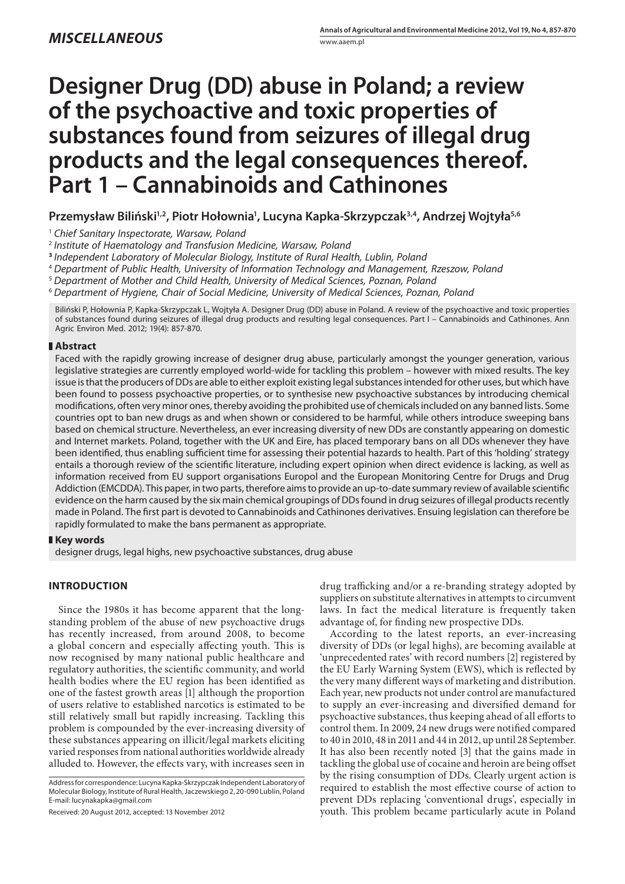# **Designer Drug (DD) abuse in Poland; a review of the psychoactive and toxic properties of substances found from seizures of illegal drug products and the legal consequences thereof. Part 1 – Cannabinoids and Cathinones**

**Przemysław Biliński1,2, Piotr Hołownia1 , Lucyna Kapka-Skrzypczak3,4, Andrzej Wojtyła5,6**

<sup>1</sup> *Chief Sanitary Inspectorate, Warsaw, Poland*

<sup>2</sup> *Institute of Haematology and Transfusion Medicine, Warsaw, Poland*

**<sup>3</sup>***Independent Laboratory of Molecular Biology, Institute of Rural Health, Lublin, Poland*

<sup>4</sup> *Department of Public Health, University of Information Technology and Management, Rzeszow, Poland*

<sup>5</sup> *Department of Mother and Child Health, University of Medical Sciences, Poznan, Poland*

<sup>6</sup> *Department of Hygiene, Chair of Social Medicine, University of Medical Sciences, Poznan, Poland*

Biliński P, Hołownia P, Kapka-Skrzypczak L, Wojtyła A. Designer Drug (DD) abuse in Poland. A review of the psychoactive and toxic properties of substances found during seizures of illegal drug products and resulting legal consequences. Part I – Cannabinoids and Cathinones. Ann Agric Environ Med. 2012; 19(4): 857-870.

## **Abstract**

Faced with the rapidly growing increase of designer drug abuse, particularly amongst the younger generation, various legislative strategies are currently employed world-wide for tackling this problem – however with mixed results. The key issue is that the producers of DDs are able to either exploit existing legal substances intended for other uses, but which have been found to possess psychoactive properties, or to synthesise new psychoactive substances by introducing chemical modifications, often very minor ones, thereby avoiding the prohibited use of chemicals included on any banned lists. Some countries opt to ban new drugs as and when shown or considered to be harmful, while others introduce sweeping bans based on chemical structure. Nevertheless, an ever increasing diversity of new DDs are constantly appearing on domestic and Internet markets. Poland, together with the UK and Eire, has placed temporary bans on all DDs whenever they have been identified, thus enabling sufficient time for assessing their potential hazards to health. Part of this 'holding' strategy entails a thorough review of the scientific literature, including expert opinion when direct evidence is lacking, as well as information received from EU support organisations Europol and the European Monitoring Centre for Drugs and Drug Addiction (EMCDDA). This paper, in two parts, therefore aims to provide an up-to-date summary review of available scientific evidence on the harm caused by the six main chemical groupings of DDs found in drug seizures of illegal products recently made in Poland. The first part is devoted to Cannabinoids and Cathinones derivatives. Ensuing legislation can therefore be rapidly formulated to make the bans permanent as appropriate.

**Key words**

designer drugs, legal highs, new psychoactive substances, drug abuse

# **INTRODUCTION**

Since the 1980s it has become apparent that the longstanding problem of the abuse of new psychoactive drugs has recently increased, from around 2008, to become a global concern and especially affecting youth. This is now recognised by many national public healthcare and regulatory authorities, the scientific community, and world health bodies where the EU region has been identified as one of the fastest growth areas [1] although the proportion of users relative to established narcotics is estimated to be still relatively small but rapidly increasing. Tackling this problem is compounded by the ever-increasing diversity of these substances appearing on illicit/legal markets eliciting varied responses from national authorities worldwide already alluded to. However, the effects vary, with increases seen in

Address for correspondence: Lucyna Kapka-Skrzypczak Independent Laboratory of Molecular Biology, Institute of Rural Health, Jaczewskiego 2, 20-090 Lublin, Poland E-mail: lucynakapka@gmail.com

Received: 20 August 2012, accepted: 13 November 2012

drug trafficking and/or a re-branding strategy adopted by suppliers on substitute alternatives in attempts to circumvent laws. In fact the medical literature is frequently taken advantage of, for finding new prospective DDs.

According to the latest reports, an ever-increasing diversity of DDs (or legal highs), are becoming available at 'unprecedented rates' with record numbers [2] registered by the EU Early Warning System (EWS), which is reflected by the very many different ways of marketing and distribution. Each year, new products not under control are manufactured to supply an ever-increasing and diversified demand for psychoactive substances, thus keeping ahead of all efforts to control them. In 2009, 24 new drugs were notified compared to 40 in 2010, 48 in 2011 and 44 in 2012, up until 28 September. It has also been recently noted [3] that the gains made in tackling the global use of cocaine and heroin are being offset by the rising consumption of DDs. Clearly urgent action is required to establish the most effective course of action to prevent DDs replacing 'conventional drugs', especially in youth. This problem became particularly acute in Poland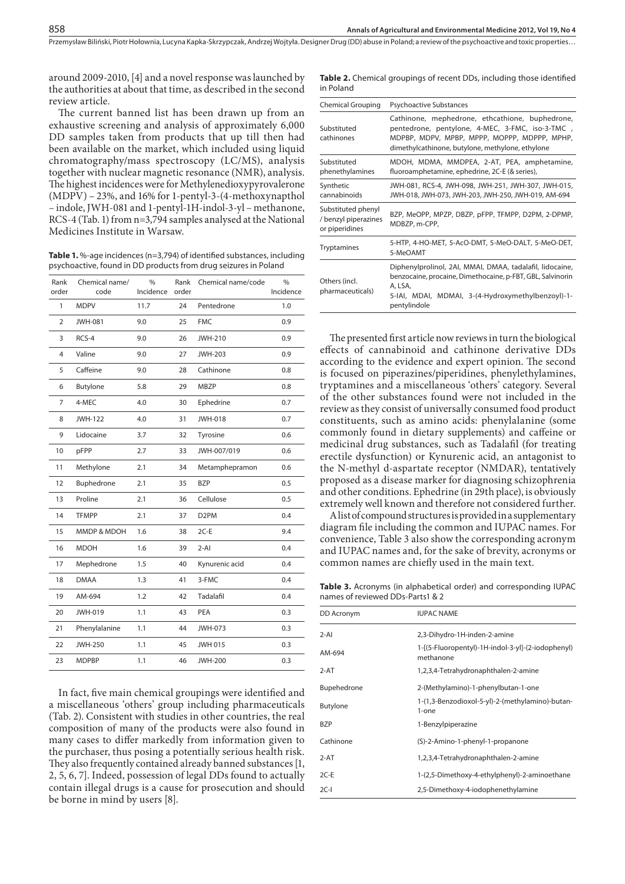around 2009-2010, [4] and a novel response was launched by the authorities at about that time, as described in the second review article.

The current banned list has been drawn up from an exhaustive screening and analysis of approximately 6,000 DD samples taken from products that up till then had been available on the market, which included using liquid chromatography/mass spectroscopy (LC/MS), analysis together with nuclear magnetic resonance (NMR), analysis. The highest incidences were for Methylenedioxypyrovalerone (MDPV) – 23%, and 16% for 1-pentyl-3-(4-methoxynapthol – indole, JWH-081 and 1-pentyl-1H-indol-3-yl – methanone, RCS-4 (Tab. 1) from n=3,794 samples analysed at the National Medicines Institute in Warsaw.

**Table 1.** %-age incidences (n=3,794) of identified substances, including psychoactive, found in DD products from drug seizures in Poland

| Rank           | Chemical name/ | %         | Rank  | Chemical name/code | $\frac{9}{6}$ |
|----------------|----------------|-----------|-------|--------------------|---------------|
| order          | code           | Incidence | order |                    | Incidence     |
| $\mathbf{1}$   | <b>MDPV</b>    | 11.7      | 24    | Pentedrone         | 1.0           |
| $\overline{2}$ | <b>JWH-081</b> | 9.0       | 25    | <b>FMC</b>         | 0.9           |
| 3              | RCS-4          | 9.0       | 26    | <b>JWH-210</b>     | 0.9           |
| 4              | Valine         | 9.0       | 27    | <b>JWH-203</b>     | 0.9           |
| 5              | Caffeine       | 9.0       | 28    | Cathinone          | 0.8           |
| 6              | Butylone       | 5.8       | 29    | <b>MBZP</b>        | 0.8           |
| 7              | 4-MEC          | 4.0       | 30    | Ephedrine          | 0.7           |
| 8              | <b>JWH-122</b> | 4.0       | 31    | <b>JWH-018</b>     | 0.7           |
| 9              | Lidocaine      | 3.7       | 32    | Tyrosine           | 0.6           |
| 10             | pFPP           | 2.7       | 33    | JWH-007/019        | 0.6           |
| 11             | Methylone      | 2.1       | 34    | Metamphepramon     | 0.6           |
| 12             | Buphedrone     | 2.1       | 35    | <b>BZP</b>         | 0.5           |
| 13             | Proline        | 2.1       | 36    | Cellulose          | 0.5           |
| 14             | <b>TFMPP</b>   | 2.1       | 37    | D <sub>2</sub> PM  | 0.4           |
| 15             | MMDP & MDOH    | 1.6       | 38    | $2C-E$             | 9.4           |
| 16             | <b>MDOH</b>    | 1.6       | 39    | $2 - AI$           | 0.4           |
| 17             | Mephedrone     | 1.5       | 40    | Kynurenic acid     | 0.4           |
| 18             | <b>DMAA</b>    | 1.3       | 41    | 3-FMC              | 0.4           |
| 19             | AM-694         | 1.2       | 42    | Tadalafil          | 0.4           |
| 20             | JWH-019        | 1.1       | 43    | PEA                | 0.3           |
| 21             | Phenylalanine  | 1.1       | 44    | <b>JWH-073</b>     | 0.3           |
| 22             | <b>JWH-250</b> | 1.1       | 45    | <b>JWH 015</b>     | 0.3           |
| 23             | <b>MDPBP</b>   | 1.1       | 46    | <b>JWH-200</b>     | 0.3           |

In fact, five main chemical groupings were identified and a miscellaneous 'others' group including pharmaceuticals (Tab. 2). Consistent with studies in other countries, the real composition of many of the products were also found in many cases to differ markedly from information given to the purchaser, thus posing a potentially serious health risk. They also frequently contained already banned substances [1, 2, 5, 6, 7]. Indeed, possession of legal DDs found to actually contain illegal drugs is a cause for prosecution and should be borne in mind by users [8].

Table 2. Chemical groupings of recent DDs, including those identified in Poland

| <b>Chemical Grouping</b>                                     | <b>Psychoactive Substances</b>                                                                                                                                                                         |  |  |  |  |
|--------------------------------------------------------------|--------------------------------------------------------------------------------------------------------------------------------------------------------------------------------------------------------|--|--|--|--|
| Substituted<br>cathinones                                    | Cathinone, mephedrone, ethcathione, buphedrone,<br>pentedrone, pentylone, 4-MEC, 3-FMC, iso-3-TMC,<br>MDPBP, MDPV, MPBP, MPPP, MOPPP, MDPPP, MPHP,<br>dimethylcathinone, butylone, methylone, ethylone |  |  |  |  |
| Substituted<br>phenethylamines                               | MDOH, MDMA, MMDPEA, 2-AT, PEA, amphetamine,<br>fluoroamphetamine, ephedrine, 2C-E (& series),                                                                                                          |  |  |  |  |
| Synthetic<br>cannabinoids                                    | JWH-081, RCS-4, JWH-098, JWH-251, JWH-307, JWH-015,<br>JWH-018, JWH-073, JWH-203, JWH-250, JWH-019, AM-694                                                                                             |  |  |  |  |
| Substituted phenyl<br>/ benzyl piperazines<br>or piperidines | BZP, MeOPP, MPZP, DBZP, pFPP, TFMPP, D2PM, 2-DPMP,<br>MDBZP, m-CPP,                                                                                                                                    |  |  |  |  |
| <b>Tryptamines</b>                                           | 5-HTP, 4-HO-MET, 5-AcO-DMT, 5-MeO-DALT, 5-MeO-DET,<br>5-MeOAMT                                                                                                                                         |  |  |  |  |
| Others (incl.<br>pharmaceuticals)                            | Diphenylprolinol, 2AI, MMAI, DMAA, tadalafil, lidocaine,<br>benzocaine, procaine, Dimethocaine, p-FBT, GBL, Salvinorin<br>A, LSA,<br>5-IAI, MDAI, MDMAI, 3-(4-Hydroxymethylbenzoyl)-1-<br>pentylindole |  |  |  |  |

The presented first article now reviews in turn the biological effects of cannabinoid and cathinone derivative DDs according to the evidence and expert opinion. The second is focused on piperazines/piperidines, phenylethylamines, tryptamines and a miscellaneous 'others' category. Several of the other substances found were not included in the review as they consist of universally consumed food product constituents, such as amino acids: phenylalanine (some commonly found in dietary supplements) and caffeine or medicinal drug substances, such as Tadalafil (for treating erectile dysfunction) or Kynurenic acid, an antagonist to the N-methyl d-aspartate receptor (NMDAR), tentatively proposed as a disease marker for diagnosing schizophrenia and other conditions. Ephedrine (in 29th place), is obviously extremely well known and therefore not considered further.

A list of compound structures is provided in a supplementary diagram file including the common and IUPAC names. For convenience, Table 3 also show the corresponding acronym and IUPAC names and, for the sake of brevity, acronyms or common names are chiefly used in the main text.

**Table 3.** Acronyms (in alphabetical order) and corresponding IUPAC names of reviewed DDs-Parts1 & 2

| <b>IUPAC NAME</b>                                              |
|----------------------------------------------------------------|
| 2,3-Dihydro-1H-inden-2-amine                                   |
| 1-[(5-Fluoropentyl)-1H-indol-3-yl]-(2-iodophenyl)<br>methanone |
| 1,2,3,4-Tetrahydronaphthalen-2-amine                           |
| 2-(Methylamino)-1-phenylbutan-1-one                            |
| 1-(1,3-Benzodioxol-5-yl)-2-(methylamino)-butan-<br>1-one       |
| 1-Benzylpiperazine                                             |
| (S)-2-Amino-1-phenyl-1-propanone                               |
| 1,2,3,4-Tetrahydronaphthalen-2-amine                           |
| 1-(2,5-Dimethoxy-4-ethylphenyl)-2-aminoethane                  |
| 2,5-Dimethoxy-4-iodophenethylamine                             |
|                                                                |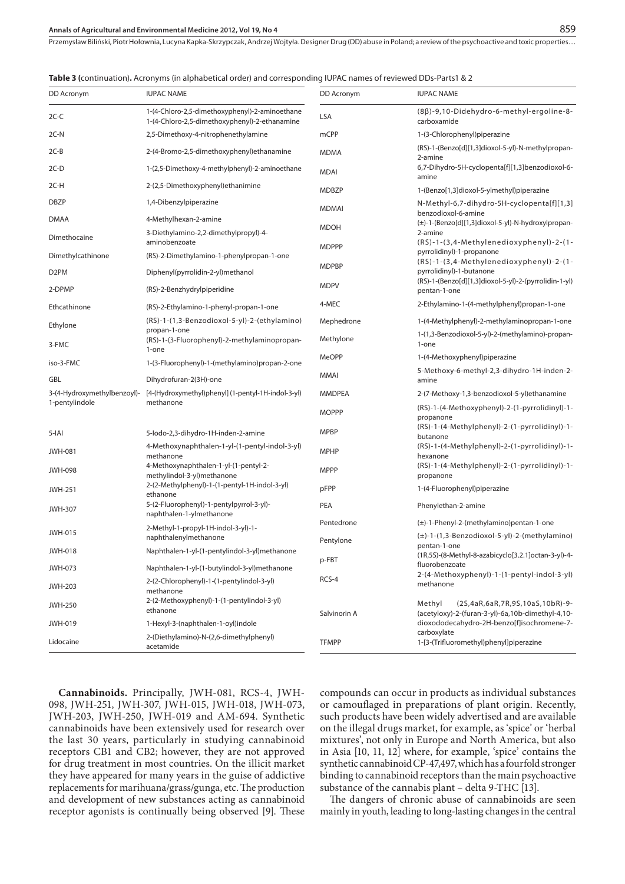#### **Annals of Agricultural and Environmental Medicine 2012, Vol 19, No 4**

Przemysław Biliński, Piotr Hołownia, Lucyna Kapka-Skrzypczak, Andrzej Wojtyła. Designer Drug (DD) abuse in Poland; a review of the psychoactive and toxic properties…

| DD Acronym                  | <b>IUPAC NAME</b>                                                                               | DD Acronym    | <b>IUPAC NAME</b>                                                                                 |
|-----------------------------|-------------------------------------------------------------------------------------------------|---------------|---------------------------------------------------------------------------------------------------|
| $2C-C$                      | 1-(4-Chloro-2,5-dimethoxyphenyl)-2-aminoethane<br>1-(4-Chloro-2,5-dimethoxyphenyl)-2-ethanamine | LSA           | $(8\beta)$ -9,10-Didehydro-6-methyl-ergoline-8-<br>carboxamide                                    |
| $2C-N$                      | 2,5-Dimethoxy-4-nitrophenethylamine                                                             | mCPP          | 1-(3-Chlorophenyl)piperazine                                                                      |
| $2C-B$                      | 2-(4-Bromo-2,5-dimethoxyphenyl) ethanamine                                                      | <b>MDMA</b>   | (RS)-1-(Benzo[d][1,3]dioxol-5-yl)-N-methylpropan-<br>2-amine                                      |
| $2C-D$                      | 1-(2,5-Dimethoxy-4-methylphenyl)-2-aminoethane                                                  | <b>MDAI</b>   | 6,7-Dihydro-5H-cyclopenta[f][1,3]benzodioxol-6-<br>amine                                          |
| 2C-H                        | 2-(2,5-Dimethoxyphenyl) ethanimine                                                              | <b>MDBZP</b>  | 1-(Benzo[1,3]dioxol-5-ylmethyl)piperazine                                                         |
| <b>DBZP</b>                 | 1,4-Dibenzylpiperazine                                                                          | <b>MDMAI</b>  | N-Methyl-6,7-dihydro-5H-cyclopenta[f][1,3]                                                        |
| <b>DMAA</b>                 | 4-Methylhexan-2-amine                                                                           |               | benzodioxol-6-amine<br>(±)-1-(Benzo[d][1,3]dioxol-5-yl)-N-hydroxylpropan-                         |
| Dimethocaine                | 3-Diethylamino-2,2-dimethylpropyl)-4-<br>aminobenzoate                                          | <b>MDOH</b>   | 2-amine<br>(RS)-1-(3,4-Methylenedioxyphenyl)-2-(1-                                                |
| Dimethylcathinone           | (RS)-2-Dimethylamino-1-phenylpropan-1-one                                                       | <b>MDPPP</b>  | pyrrolidinyl)-1-propanone                                                                         |
| D <sub>2</sub> PM           | Diphenyl(pyrrolidin-2-yl)methanol                                                               | <b>MDPBP</b>  | (RS)-1-(3,4-Methylenedioxyphenyl)-2-(1-<br>pyrrolidinyl)-1-butanone                               |
| 2-DPMP                      | (RS)-2-Benzhydrylpiperidine                                                                     | <b>MDPV</b>   | (RS)-1-(Benzo[d][1,3]dioxol-5-yl)-2-(pyrrolidin-1-yl)<br>pentan-1-one                             |
| Ethcathinone                | (RS)-2-Ethylamino-1-phenyl-propan-1-one                                                         | 4-MEC         | 2-Ethylamino-1-(4-methylphenyl)propan-1-one                                                       |
| Ethylone                    | (RS)-1-(1,3-Benzodioxol-5-yl)-2-(ethylamino)                                                    | Mephedrone    | 1-(4-Methylphenyl)-2-methylaminopropan-1-one                                                      |
| 3-FMC                       | propan-1-one<br>(RS)-1-(3-Fluorophenyl)-2-methylaminopropan-                                    | Methylone     | 1-(1,3-Benzodioxol-5-yl)-2-(methylamino)-propan-<br>1-one                                         |
| iso-3-FMC                   | 1-one                                                                                           | <b>MeOPP</b>  | 1-(4-Methoxyphenyl)piperazine                                                                     |
| GBL                         | 1-(3-Fluorophenyl)-1-(methylamino)propan-2-one<br>Dihydrofuran-2(3H)-one                        | MMAI          | 5-Methoxy-6-methyl-2,3-dihydro-1H-inden-2-<br>amine                                               |
| 3-(4-Hydroxymethylbenzoyl)- | [4-(Hydroxymethyl)phenyl] (1-pentyl-1H-indol-3-yl)                                              | <b>MMDPEA</b> | 2-(7-Methoxy-1,3-benzodioxol-5-yl)ethanamine                                                      |
| 1-pentylindole              | methanone                                                                                       | <b>MOPPP</b>  | (RS)-1-(4-Methoxyphenyl)-2-(1-pyrrolidinyl)-1-<br>propanone                                       |
| $5$ -IAI                    | 5-lodo-2,3-dihydro-1H-inden-2-amine                                                             | <b>MPBP</b>   | (RS)-1-(4-Methylphenyl)-2-(1-pyrrolidinyl)-1-<br>butanone                                         |
| <b>JWH-081</b>              | 4-Methoxynaphthalen-1-yl-(1-pentyl-indol-3-yl)<br>methanone                                     | <b>MPHP</b>   | (RS)-1-(4-Methylphenyl)-2-(1-pyrrolidinyl)-1-<br>hexanone                                         |
| <b>JWH-098</b>              | 4-Methoxynaphthalen-1-yl-(1-pentyl-2-<br>methylindol-3-yl)methanone                             | <b>MPPP</b>   | (RS)-1-(4-Methylphenyl)-2-(1-pyrrolidinyl)-1-<br>propanone                                        |
| <b>JWH-251</b>              | 2-(2-Methylphenyl)-1-(1-pentyl-1H-indol-3-yl)<br>ethanone                                       | pFPP          | 1-(4-Fluorophenyl)piperazine                                                                      |
| <b>JWH-307</b>              | 5-(2-Fluorophenyl)-1-pentylpyrrol-3-yl)-<br>naphthalen-1-ylmethanone                            | PEA           | Phenylethan-2-amine                                                                               |
| <b>JWH-015</b>              | 2-Methyl-1-propyl-1H-indol-3-yl)-1-                                                             | Pentedrone    | (±)-1-Phenyl-2-(methylamino)pentan-1-one<br>$(\pm)$ -1- $(1,3$ -Benzodioxol-5-yl)-2-(methylamino) |
| <b>JWH-018</b>              | naphthalenylmethanone<br>Naphthalen-1-yl-(1-pentylindol-3-yl)methanone                          | Pentylone     | pentan-1-one                                                                                      |
|                             |                                                                                                 | p-FBT         | (1R,5S)-(8-Methyl-8-azabicyclo[3.2.1]octan-3-yl)-4-<br>fluorobenzoate                             |
| JWH-073                     | Naphthalen-1-yl-(1-butylindol-3-yl)methanone<br>2-(2-Chlorophenyl)-1-(1-pentylindol-3-yl)       | RCS-4         | 2-(4-Methoxyphenyl)-1-(1-pentyl-indol-3-yl)                                                       |
| <b>JWH-203</b>              | methanone                                                                                       |               | methanone                                                                                         |
| <b>JWH-250</b>              | 2-(2-Methoxyphenyl)-1-(1-pentylindol-3-yl)<br>ethanone                                          | Salvinorin A  | Methyl<br>(2S,4aR,6aR,7R,9S,10aS,10bR)-9-<br>(acetyloxy)-2-(furan-3-yl)-6a,10b-dimethyl-4,10-     |
| JWH-019                     | 1-Hexyl-3-(naphthalen-1-oyl)indole                                                              |               | dioxododecahydro-2H-benzo[f]isochromene-7-                                                        |
| Lidocaine                   | 2-(Diethylamino)-N-(2,6-dimethylphenyl)<br>acetamide                                            | <b>TFMPP</b>  | carboxylate<br>1-[3-(Trifluoromethyl)phenyl]piperazine                                            |

**Cannabinoids.** Principally, JWH-081, RCS-4, JWH-098, JWH-251, JWH-307, JWH-015, JWH-018, JWH-073, JWH-203, JWH-250, JWH-019 and AM-694. Synthetic cannabinoids have been extensively used for research over the last 30 years, particularly in studying cannabinoid receptors CB1 and CB2; however, they are not approved for drug treatment in most countries. On the illicit market they have appeared for many years in the guise of addictive replacements for marihuana/grass/gunga, etc. The production and development of new substances acting as cannabinoid receptor agonists is continually being observed [9]. These compounds can occur in products as individual substances or camouflaged in preparations of plant origin. Recently, such products have been widely advertised and are available on the illegal drugs market, for example, as 'spice' or 'herbal mixtures', not only in Europe and North America, but also in Asia [10, 11, 12] where, for example, 'spice' contains the synthetic cannabinoid CP-47,497, which has a fourfold stronger binding to cannabinoid receptors than the main psychoactive substance of the cannabis plant – delta 9-THC [13].

The dangers of chronic abuse of cannabinoids are seen mainly in youth, leading to long-lasting changes in the central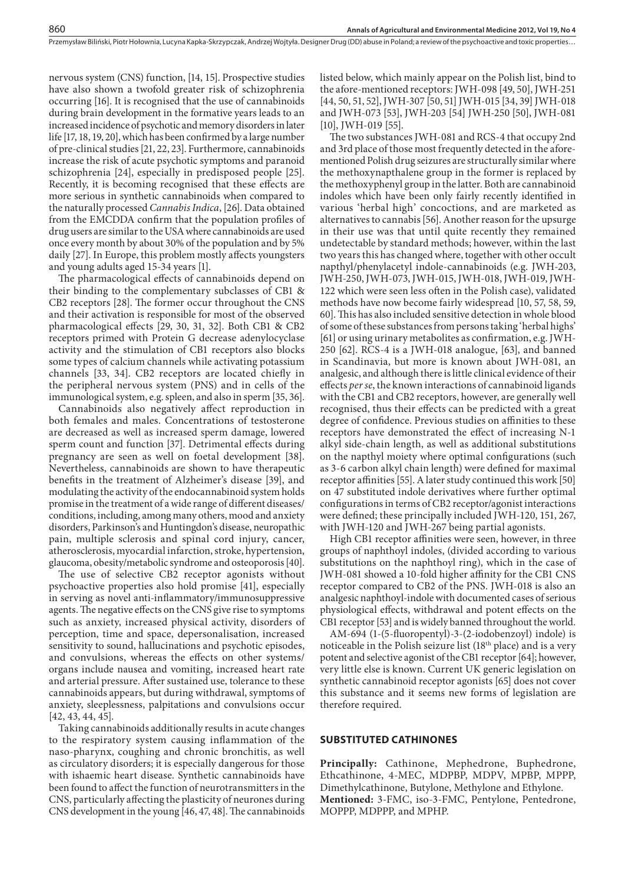nervous system (CNS) function, [14, 15]. Prospective studies have also shown a twofold greater risk of schizophrenia occurring [16]. It is recognised that the use of cannabinoids during brain development in the formative years leads to an increased incidence of psychotic and memory disorders in later life  $[17, 18, 19, 20]$ , which has been confirmed by a large number of pre-clinical studies [21, 22, 23]. Furthermore, cannabinoids increase the risk of acute psychotic symptoms and paranoid schizophrenia [24], especially in predisposed people [25]. Recently, it is becoming recognised that these effects are more serious in synthetic cannabinoids when compared to the naturally processed *Cannabis Indica*, [26]. Data obtained from the EMCDDA confirm that the population profiles of drug users are similar to the USA where cannabinoids are used once every month by about 30% of the population and by 5% daily [27]. In Europe, this problem mostly affects youngsters and young adults aged 15-34 years [1].

The pharmacological effects of cannabinoids depend on their binding to the complementary subclasses of CB1 & CB2 receptors [28]. The former occur throughout the CNS and their activation is responsible for most of the observed pharmacological effects  $[29, 30, 31, 32]$ . Both CB1 & CB2 receptors primed with Protein G decrease adenylocyclase activity and the stimulation of CB1 receptors also blocks some types of calcium channels while activating potassium channels [33, 34]. CB2 receptors are located chiefly in the peripheral nervous system (PNS) and in cells of the immunological system, e.g. spleen, and also in sperm [35, 36].

Cannabinoids also negatively affect reproduction in both females and males. Concentrations of testosterone are decreased as well as increased sperm damage, lowered sperm count and function [37]. Detrimental effects during pregnancy are seen as well on foetal development [38]. Nevertheless, cannabinoids are shown to have therapeutic benefits in the treatment of Alzheimer's disease [39], and modulating the activity of the endocannabinoid system holds promise in the treatment of a wide range of different diseases/ conditions, including, among many others, mood and anxiety disorders, Parkinson's and Huntingdon's disease, neuropathic pain, multiple sclerosis and spinal cord injury, cancer, atherosclerosis, myocardial infarction, stroke, hypertension, glaucoma, obesity/metabolic syndrome and osteoporosis [40].

The use of selective CB2 receptor agonists without psychoactive properties also hold promise [41], especially in serving as novel anti-inflammatory/immunosuppressive agents. The negative effects on the CNS give rise to symptoms such as anxiety, increased physical activity, disorders of perception, time and space, depersonalisation, increased sensitivity to sound, hallucinations and psychotic episodes, and convulsions, whereas the effects on other systems/ organs include nausea and vomiting, increased heart rate and arterial pressure. After sustained use, tolerance to these cannabinoids appears, but during withdrawal, symptoms of anxiety, sleeplessness, palpitations and convulsions occur [42, 43, 44, 45].

Taking cannabinoids additionally results in acute changes to the respiratory system causing inflammation of the naso-pharynx, coughing and chronic bronchitis, as well as circulatory disorders; it is especially dangerous for those with ishaemic heart disease. Synthetic cannabinoids have been found to affect the function of neurotransmitters in the CNS, particularly affecting the plasticity of neurones during CNS development in the young [46, 47, 48]. The cannabinoids listed below, which mainly appear on the Polish list, bind to the afore-mentioned receptors: JWH-098 [49, 50], JWH-251 [44, 50, 51, 52], JWH-307 [50, 51] JWH-015 [34, 39] JWH-018 and JWH-073 [53], JWH-203 [54] JWH-250 [50], JWH-081 [10], JWH-019 [55].

The two substances JWH-081 and RCS-4 that occupy 2nd and 3rd place of those most frequently detected in the aforementioned Polish drug seizures are structurally similar where the methoxynapthalene group in the former is replaced by the methoxyphenyl group in the latter. Both are cannabinoid indoles which have been only fairly recently identified in various 'herbal high' concoctions, and are marketed as alternatives to cannabis [56]. Another reason for the upsurge in their use was that until quite recently they remained undetectable by standard methods; however, within the last two years this has changed where, together with other occult napthyl/phenylacetyl indole-cannabinoids (e.g. JWH-203, JWH-250, JWH-073, JWH-015, JWH-018, JWH-019, JWH-122 which were seen less often in the Polish case), validated methods have now become fairly widespread [10, 57, 58, 59, 60]. This has also included sensitive detection in whole blood of some of these substances from persons taking 'herbal highs' [61] or using urinary metabolites as confirmation, e.g. JWH-250 [62]. RCS-4 is a JWH-018 analogue, [63], and banned in Scandinavia, but more is known about JWH-081, an analgesic, and although there is little clinical evidence of their effects *per se*, the known interactions of cannabinoid ligands with the CB1 and CB2 receptors, however, are generally well recognised, thus their effects can be predicted with a great degree of confidence. Previous studies on affinities to these receptors have demonstrated the effect of increasing N-1 alkyl side-chain length, as well as additional substitutions on the napthyl moiety where optimal configurations (such as 3-6 carbon alkyl chain length) were defined for maximal receptor affinities [55]. A later study continued this work [50] on 47 substituted indole derivatives where further optimal  $configurations in terms of CB2 receptor/agonist interactions$ were defined; these principally included JWH-120, 151, 267, with JWH-120 and JWH-267 being partial agonists.

High CB1 receptor affinities were seen, however, in three groups of naphthoyl indoles, (divided according to various substitutions on the naphthoyl ring), which in the case of JWH-081 showed a 10-fold higher affinity for the CB1 CNS receptor compared to CB2 of the PNS. JWH-018 is also an analgesic naphthoyl-indole with documented cases of serious physiological effects, withdrawal and potent effects on the CB1 receptor [53] and is widely banned throughout the world.

AM-694 (1-(5-fluoropentyl)-3-(2-iodobenzoyl) indole) is noticeable in the Polish seizure list (18<sup>th</sup> place) and is a very potent and selective agonist of the CB1 receptor [64]; however, very little else is known. Current UK generic legislation on synthetic cannabinoid receptor agonists [65] does not cover this substance and it seems new forms of legislation are therefore required.

## **SUBSTITUTED CATHINONES**

**Principally:** Cathinone, Mephedrone, Buphedrone, Ethcathinone, 4-MEC, MDPBP, MDPV, MPBP, MPPP, Dimethylcathinone, Butylone, Methylone and Ethylone. **Mentioned:** 3-FMC, iso-3-FMC, Pentylone, Pentedrone, MOPPP, MDPPP, and MPHP.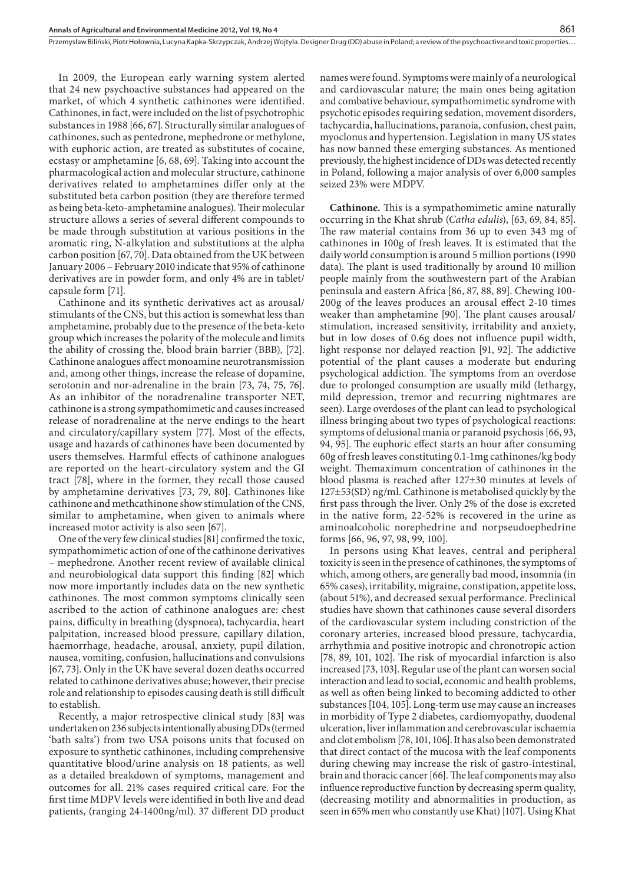In 2009, the European early warning system alerted that 24 new psychoactive substances had appeared on the market, of which 4 synthetic cathinones were identified. Cathinones, in fact, were included on the list of psychotrophic substances in 1988 [66, 67]. Structurally similar analogues of cathinones, such as pentedrone, mephedrone or methylone, with euphoric action, are treated as substitutes of cocaine, ecstasy or amphetamine [6, 68, 69]. Taking into account the pharmacological action and molecular structure, cathinone derivatives related to amphetamines differ only at the substituted beta carbon position (they are therefore termed as being beta-keto-amphetamine analogues). Their molecular structure allows a series of several different compounds to be made through substitution at various positions in the aromatic ring, N-alkylation and substitutions at the alpha carbon position [67, 70]. Data obtained from the UK between January 2006 – February 2010 indicate that 95% of cathinone derivatives are in powder form, and only 4% are in tablet/ capsule form [71].

Cathinone and its synthetic derivatives act as arousal/ stimulants of the CNS, but this action is somewhat less than amphetamine, probably due to the presence of the beta-keto group which increases the polarity of the molecule and limits the ability of crossing the, blood brain barrier (BBB), [72]. Cathinone analogues affect monoamine neurotransmission and, among other things, increase the release of dopamine, serotonin and nor-adrenaline in the brain [73, 74, 75, 76]. As an inhibitor of the noradrenaline transporter NET, cathinone is a strong sympathomimetic and causes increased release of noradrenaline at the nerve endings to the heart and circulatory/capillary system [77]. Most of the effects, usage and hazards of cathinones have been documented by users themselves. Harmful effects of cathinone analogues are reported on the heart-circulatory system and the GI tract [78], where in the former, they recall those caused by amphetamine derivatives [73, 79, 80]. Cathinones like cathinone and methcathinone show stimulation of the CNS, similar to amphetamine, when given to animals where increased motor activity is also seen [67].

One of the very few clinical studies [81] confirmed the toxic, sympathomimetic action of one of the cathinone derivatives – mephedrone. Another recent review of available clinical and neurobiological data support this finding [82] which now more importantly includes data on the new synthetic cathinones. The most common symptoms clinically seen ascribed to the action of cathinone analogues are: chest pains, difficulty in breathing (dyspnoea), tachycardia, heart palpitation, increased blood pressure, capillary dilation, haemorrhage, headache, arousal, anxiety, pupil dilation, nausea, vomiting, confusion, hallucinations and convulsions [67, 73]. Only in the UK have several dozen deaths occurred related to cathinone derivatives abuse; however, their precise role and relationship to episodes causing death is still difficult to establish.

Recently, a major retrospective clinical study [83] was undertaken on 236 subjects intentionally abusing DDs (termed 'bath salts') from two USA poisons units that focused on exposure to synthetic cathinones, including comprehensive quantitative blood/urine analysis on 18 patients, as well as a detailed breakdown of symptoms, management and outcomes for all. 21% cases required critical care. For the first time MDPV levels were identified in both live and dead patients, (ranging 24-1400ng/ml). 37 different DD product names were found. Symptoms were mainly of a neurological and cardiovascular nature; the main ones being agitation and combative behaviour, sympathomimetic syndrome with psychotic episodes requiring sedation, movement disorders, tachycardia, hallucinations, paranoia, confusion, chest pain, myoclonus and hypertension. Legislation in many US states has now banned these emerging substances. As mentioned previously, the highest incidence of DDs was detected recently in Poland, following a major analysis of over 6,000 samples seized 23% were MDPV.

**Cathinone.** This is a sympathomimetic amine naturally occurring in the Khat shrub (*Catha edulis*), [63, 69, 84, 85]. The raw material contains from 36 up to even 343 mg of cathinones in 100g of fresh leaves. It is estimated that the daily world consumption is around 5 million portions (1990 data). The plant is used traditionally by around 10 million people mainly from the southwestern part of the Arabian peninsula and eastern Africa [86, 87, 88, 89]. Chewing 100- 200g of the leaves produces an arousal effect 2-10 times weaker than amphetamine [90]. The plant causes arousal/ stimulation, increased sensitivity, irritability and anxiety, but in low doses of 0.6g does not influence pupil width, light response nor delayed reaction [91, 92]. The addictive potential of the plant causes a moderate but enduring psychological addiction. The symptoms from an overdose due to prolonged consumption are usually mild (lethargy, mild depression, tremor and recurring nightmares are seen). Large overdoses of the plant can lead to psychological illness bringing about two types of psychological reactions: symptoms of delusional mania or paranoid psychosis [66, 93, 94, 95]. The euphoric effect starts an hour after consuming 60g of fresh leaves constituting 0.1-1mg cathinones/kg body weight. Themaximum concentration of cathinones in the blood plasma is reached after 127±30 minutes at levels of 127±53(SD) ng/ml. Cathinone is metabolised quickly by the first pass through the liver. Only 2% of the dose is excreted in the native form, 22-52% is recovered in the urine as aminoalcoholic norephedrine and norpseudoephedrine forms [66, 96, 97, 98, 99, 100].

In persons using Khat leaves, central and peripheral toxicity is seen in the presence of cathinones, the symptoms of which, among others, are generally bad mood, insomnia (in 65% cases), irritability, migraine, constipation, appetite loss, (about 51%), and decreased sexual performance. Preclinical studies have shown that cathinones cause several disorders of the cardiovascular system including constriction of the coronary arteries, increased blood pressure, tachycardia, arrhythmia and positive inotropic and chronotropic action  $[78, 89, 101, 102]$ . The risk of myocardial infarction is also increased [73, 103]. Regular use of the plant can worsen social interaction and lead to social, economic and health problems, as well as often being linked to becoming addicted to other substances [104, 105]. Long-term use may cause an increases in morbidity of Type 2 diabetes, cardiomyopathy, duodenal ulceration, liver inflammation and cerebrovascular ischaemia and clot embolism [78, 101, 106]. It has also been demonstrated that direct contact of the mucosa with the leaf components during chewing may increase the risk of gastro-intestinal, brain and thoracic cancer [66]. The leaf components may also influence reproductive function by decreasing sperm quality, (decreasing motility and abnormalities in production, as seen in 65% men who constantly use Khat) [107]. Using Khat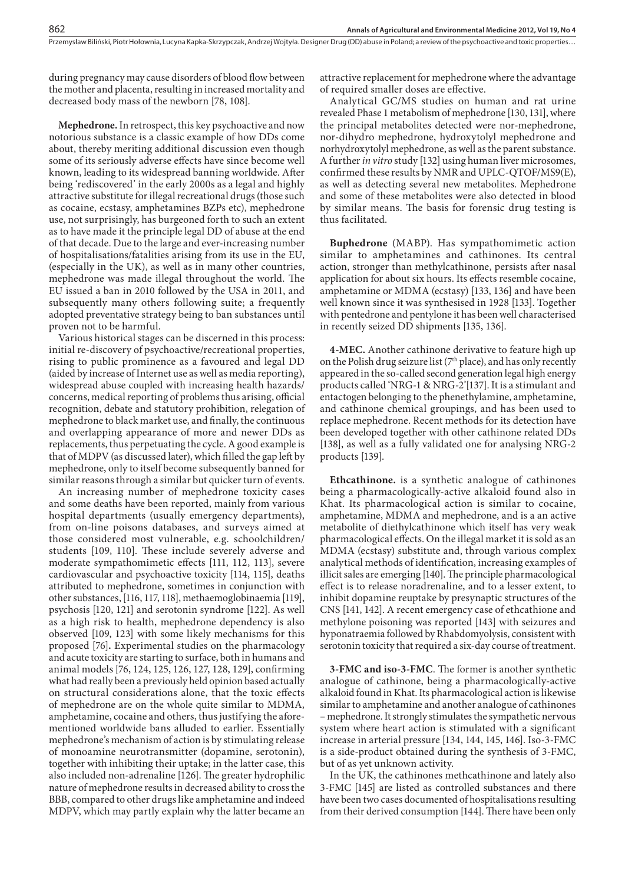during pregnancy may cause disorders of blood flow between the mother and placenta, resulting in increased mortality and decreased body mass of the newborn [78, 108].

**Mephedrone.** In retrospect, this key psychoactive and now notorious substance is a classic example of how DDs come about, thereby meriting additional discussion even though some of its seriously adverse effects have since become well known, leading to its widespread banning worldwide. After being 'rediscovered' in the early 2000s as a legal and highly attractive substitute for illegal recreational drugs (those such as cocaine, ecstasy, amphetamines BZPs etc), mephedrone use, not surprisingly, has burgeoned forth to such an extent as to have made it the principle legal DD of abuse at the end of that decade. Due to the large and ever-increasing number of hospitalisations/fatalities arising from its use in the EU, (especially in the UK), as well as in many other countries, mephedrone was made illegal throughout the world. The EU issued a ban in 2010 followed by the USA in 2011, and subsequently many others following suite; a frequently adopted preventative strategy being to ban substances until proven not to be harmful.

Various historical stages can be discerned in this process: initial re-discovery of psychoactive/recreational properties, rising to public prominence as a favoured and legal DD (aided by increase of Internet use as well as media reporting), widespread abuse coupled with increasing health hazards/ concerns, medical reporting of problems thus arising, official recognition, debate and statutory prohibition, relegation of mephedrone to black market use, and finally, the continuous and overlapping appearance of more and newer DDs as replacements, thus perpetuating the cycle. A good example is that of MDPV (as discussed later), which filled the gap left by mephedrone, only to itself become subsequently banned for similar reasons through a similar but quicker turn of events.

An increasing number of mephedrone toxicity cases and some deaths have been reported, mainly from various hospital departments (usually emergency departments), from on-line poisons databases, and surveys aimed at those considered most vulnerable, e.g. schoolchildren/ students [109, 110]. These include severely adverse and moderate sympathomimetic effects [111, 112, 113], severe cardiovascular and psychoactive toxicity [114, 115], deaths attributed to mephedrone, sometimes in conjunction with other substances, [116, 117, 118], methaemoglobinaemia [119], psychosis [120, 121] and serotonin syndrome [122]. As well as a high risk to health, mephedrone dependency is also observed [109, 123] with some likely mechanisms for this proposed [76]**.** Experimental studies on the pharmacology and acute toxicity are starting to surface, both in humans and animal models [76, 124, 125, 126, 127, 128, 129], confirming what had really been a previously held opinion based actually on structural considerations alone, that the toxic effects of mephedrone are on the whole quite similar to MDMA, amphetamine, cocaine and others, thus justifying the aforementioned worldwide bans alluded to earlier. Essentially mephedrone's mechanism of action is by stimulating release of monoamine neurotransmitter (dopamine, serotonin), together with inhibiting their uptake; in the latter case, this also included non-adrenaline [126]. The greater hydrophilic nature of mephedrone results in decreased ability to cross the BBB, compared to other drugs like amphetamine and indeed MDPV, which may partly explain why the latter became an

attractive replacement for mephedrone where the advantage of required smaller doses are effective.

Analytical GC/MS studies on human and rat urine revealed Phase 1 metabolism of mephedrone [130, 131], where the principal metabolites detected were nor-mephedrone, nor-dihydro mephedrone, hydroxytolyl mephedrone and norhydroxytolyl mephedrone, as well as the parent substance. A further *in vitro* study [132] using human liver microsomes, confirmed these results by NMR and UPLC-QTOF/MS9 $(E)$ , as well as detecting several new metabolites. Mephedrone and some of these metabolites were also detected in blood by similar means. The basis for forensic drug testing is thus facilitated.

**Buphedrone** (MABP). Has sympathomimetic action similar to amphetamines and cathinones. Its central action, stronger than methylcathinone, persists after nasal application for about six hours. Its effects resemble cocaine, amphetamine or MDMA (ecstasy) [133, 136] and have been well known since it was synthesised in 1928 [133]. Together with pentedrone and pentylone it has been well characterised in recently seized DD shipments [135, 136].

**4-MEC.** Another cathinone derivative to feature high up on the Polish drug seizure list ( $7<sup>th</sup>$  place), and has only recently appeared in the so-called second generation legal high energy products called 'NRG-1 & NRG-2'[137]. It is a stimulant and entactogen belonging to the phenethylamine, amphetamine, and cathinone chemical groupings, and has been used to replace mephedrone. Recent methods for its detection have been developed together with other cathinone related DDs [138], as well as a fully validated one for analysing NRG-2 products [139].

**Ethcathinone.** is a synthetic analogue of cathinones being a pharmacologically-active alkaloid found also in Khat. Its pharmacological action is similar to cocaine, amphetamine, MDMA and mephedrone, and is a an active metabolite of diethylcathinone which itself has very weak pharmacological effects. On the illegal market it is sold as an MDMA (ecstasy) substitute and, through various complex analytical methods of identification, increasing examples of illicit sales are emerging [140]. The principle pharmacological effect is to release noradrenaline, and to a lesser extent, to inhibit dopamine reuptake by presynaptic structures of the CNS [141, 142]. A recent emergency case of ethcathione and methylone poisoning was reported [143] with seizures and hyponatraemia followed by Rhabdomyolysis, consistent with serotonin toxicity that required a six-day course of treatment.

3-FMC and iso-3-FMC. The former is another synthetic analogue of cathinone, being a pharmacologically-active alkaloid found in Khat. Its pharmacological action is likewise similar to amphetamine and another analogue of cathinones – mephedrone. It strongly stimulates the sympathetic nervous system where heart action is stimulated with a significant increase in arterial pressure [134, 144, 145, 146]. Iso-3-FMC is a side-product obtained during the synthesis of 3-FMC, but of as yet unknown activity.

In the UK, the cathinones methcathinone and lately also 3-FMC [145] are listed as controlled substances and there have been two cases documented of hospitalisations resulting from their derived consumption [144]. There have been only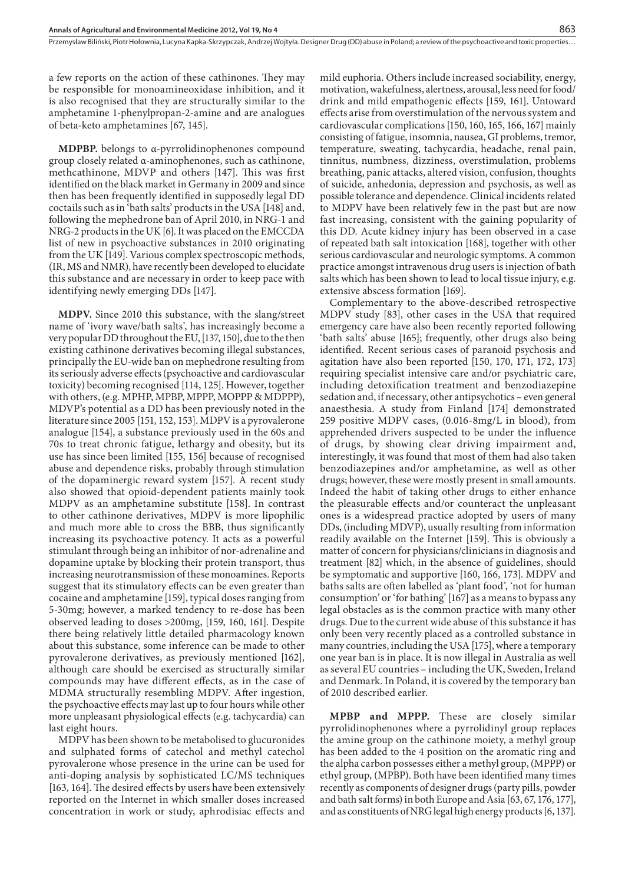a few reports on the action of these cathinones. They may be responsible for monoamineoxidase inhibition, and it is also recognised that they are structurally similar to the amphetamine 1-phenylpropan-2-amine and are analogues of beta-keto amphetamines [67, 145].

**MDPBP.** belongs to α-pyrrolidinophenones compound group closely related α-aminophenones, such as cathinone, methcathinone, MDVP and others [147]. This was first identified on the black market in Germany in 2009 and since then has been frequently identified in supposedly legal DD coctails such as in 'bath salts' products in the USA [148] and, following the mephedrone ban of April 2010, in NRG-1 and NRG-2 products in the UK [6]. It was placed on the EMCCDA list of new in psychoactive substances in 2010 originating from the UK [149]. Various complex spectroscopic methods, (IR, MS and NMR), have recently been developed to elucidate this substance and are necessary in order to keep pace with identifying newly emerging DDs [147].

**MDPV.** Since 2010 this substance, with the slang/street name of 'ivory wave/bath salts', has increasingly become a very popular DD throughout the EU, [137, 150], due to the then existing cathinone derivatives becoming illegal substances, principally the EU-wide ban on mephedrone resulting from its seriously adverse effects (psychoactive and cardiovascular toxicity) becoming recognised [114, 125]. However, together with others, (e.g. MPHP, MPBP, MPPP, MOPPP & MDPPP), MDVP's potential as a DD has been previously noted in the literature since 2005 [151, 152, 153]. MDPV is a pyrovalerone analogue [154], a substance previously used in the 60s and 70s to treat chronic fatigue, lethargy and obesity, but its use has since been limited [155, 156] because of recognised abuse and dependence risks, probably through stimulation of the dopaminergic reward system [157]. A recent study also showed that opioid-dependent patients mainly took MDPV as an amphetamine substitute [158]. In contrast to other cathinone derivatives, MDPV is more lipophilic and much more able to cross the BBB, thus signicantly increasing its psychoactive potency. It acts as a powerful stimulant through being an inhibitor of nor-adrenaline and dopamine uptake by blocking their protein transport, thus increasing neurotransmission of these monoamines. Reports suggest that its stimulatory effects can be even greater than cocaine and amphetamine [159], typical doses ranging from 5-30mg; however, a marked tendency to re-dose has been observed leading to doses >200mg, [159, 160, 161]. Despite there being relatively little detailed pharmacology known about this substance, some inference can be made to other pyrovalerone derivatives, as previously mentioned [162], although care should be exercised as structurally similar compounds may have different effects, as in the case of MDMA structurally resembling MDPV. After ingestion, the psychoactive effects may last up to four hours while other more unpleasant physiological effects (e.g. tachycardia) can last eight hours.

MDPV has been shown to be metabolised to glucuronides and sulphated forms of catechol and methyl catechol pyrovalerone whose presence in the urine can be used for anti-doping analysis by sophisticated LC/MS techniques [163, 164]. The desired effects by users have been extensively reported on the Internet in which smaller doses increased concentration in work or study, aphrodisiac effects and

mild euphoria. Others include increased sociability, energy, motivation, wakefulness, alertness, arousal, less need for food/ drink and mild empathogenic effects [159, 161]. Untoward effects arise from overstimulation of the nervous system and cardiovascular complications [150, 160, 165, 166, 167] mainly consisting of fatigue, insomnia, nausea, GI problems, tremor, temperature, sweating, tachycardia, headache, renal pain, tinnitus, numbness, dizziness, overstimulation, problems breathing, panic attacks, altered vision, confusion, thoughts of suicide, anhedonia, depression and psychosis, as well as possible tolerance and dependence. Clinical incidents related to MDPV have been relatively few in the past but are now fast increasing, consistent with the gaining popularity of this DD. Acute kidney injury has been observed in a case of repeated bath salt intoxication [168], together with other serious cardiovascular and neurologic symptoms. A common practice amongst intravenous drug users is injection of bath salts which has been shown to lead to local tissue injury, e.g. extensive abscess formation [169].

Complementary to the above-described retrospective MDPV study [83], other cases in the USA that required emergency care have also been recently reported following 'bath salts' abuse [165]; frequently, other drugs also being identified. Recent serious cases of paranoid psychosis and agitation have also been reported [150, 170, 171, 172, 173] requiring specialist intensive care and/or psychiatric care, including detoxification treatment and benzodiazepine sedation and, if necessary, other antipsychotics – even general anaesthesia. A study from Finland [174] demonstrated 259 positive MDPV cases, (0.016-8mg/L in blood), from apprehended drivers suspected to be under the influence of drugs, by showing clear driving impairment and, interestingly, it was found that most of them had also taken benzodiazepines and/or amphetamine, as well as other drugs; however, these were mostly present in small amounts. Indeed the habit of taking other drugs to either enhance the pleasurable effects and/or counteract the unpleasant ones is a widespread practice adopted by users of many DDs, (including MDVP), usually resulting from information readily available on the Internet [159]. This is obviously a matter of concern for physicians/clinicians in diagnosis and treatment [82] which, in the absence of guidelines, should be symptomatic and supportive [160, 166, 173]. MDPV and baths salts are often labelled as 'plant food', 'not for human consumption' or 'for bathing' [167] as a means to bypass any legal obstacles as is the common practice with many other drugs. Due to the current wide abuse of this substance it has only been very recently placed as a controlled substance in many countries, including the USA [175], where a temporary one year ban is in place. It is now illegal in Australia as well as several EU countries – including the UK, Sweden, Ireland and Denmark. In Poland, it is covered by the temporary ban of 2010 described earlier.

**MPBP and MPPP.** These are closely similar pyrrolidinophenones where a pyrrolidinyl group replaces the amine group on the cathinone moiety, a methyl group has been added to the 4 position on the aromatic ring and the alpha carbon possesses either a methyl group, (MPPP) or ethyl group, (MPBP). Both have been identified many times recently as components of designer drugs (party pills, powder and bath salt forms) in both Europe and Asia [63, 67, 176, 177], and as constituents of NRG legal high energy products [6, 137].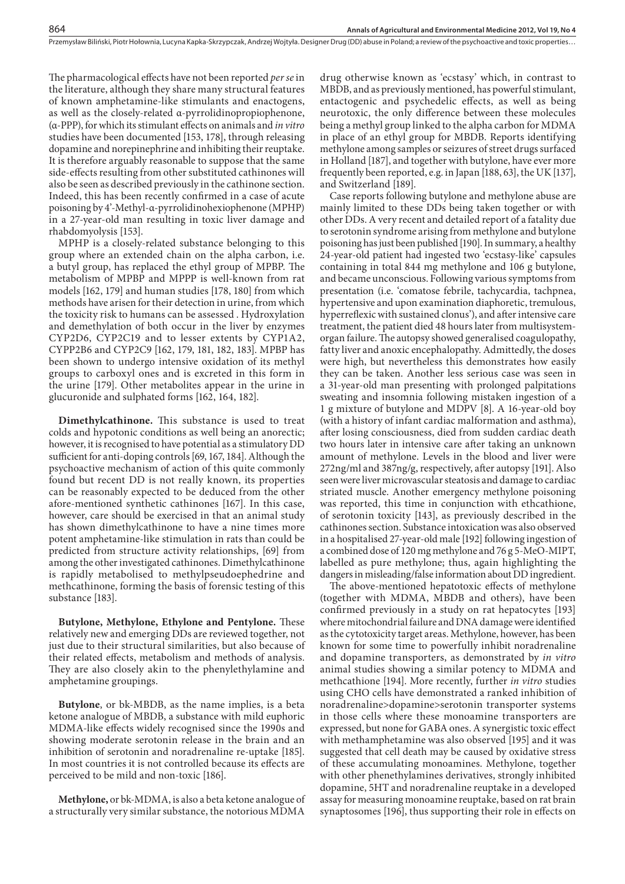The pharmacological effects have not been reported *per se* in the literature, although they share many structural features of known amphetamine-like stimulants and enactogens, as well as the closely-related α-pyrrolidinopropiophenone, (α-PPP), for which its stimulant eects on animals and *in vitro* studies have been documented [153, 178], through releasing dopamine and norepinephrine and inhibiting their reuptake. It is therefore arguably reasonable to suppose that the same side-effects resulting from other substituted cathinones will also be seen as described previously in the cathinone section. Indeed, this has been recently confirmed in a case of acute poisoning by 4'-Methyl-α-pyrrolidinohexiophenone (MPHP) in a 27-year-old man resulting in toxic liver damage and rhabdomyolysis [153].

MPHP is a closely-related substance belonging to this group where an extended chain on the alpha carbon, i.e. a butyl group, has replaced the ethyl group of MPBP. The metabolism of MPBP and MPPP is well-known from rat models [162, 179] and human studies [178, 180] from which methods have arisen for their detection in urine, from which the toxicity risk to humans can be assessed . Hydroxylation and demethylation of both occur in the liver by enzymes CYP2D6, CYP2C19 and to lesser extents by CYP1A2, CYPP2B6 and CYP2C9 [162, 179, 181, 182, 183]. MPBP has been shown to undergo intensive oxidation of its methyl groups to carboxyl ones and is excreted in this form in the urine [179]. Other metabolites appear in the urine in glucuronide and sulphated forms [162, 164, 182].

**Dimethylcathinone.** This substance is used to treat colds and hypotonic conditions as well being an anorectic; however, it is recognised to have potential as a stimulatory DD sufficient for anti-doping controls [69, 167, 184]. Although the psychoactive mechanism of action of this quite commonly found but recent DD is not really known, its properties can be reasonably expected to be deduced from the other afore-mentioned synthetic cathinones [167]. In this case, however, care should be exercised in that an animal study has shown dimethylcathinone to have a nine times more potent amphetamine-like stimulation in rats than could be predicted from structure activity relationships, [69] from among the other investigated cathinones. Dimethylcathinone is rapidly metabolised to methylpseudoephedrine and methcathinone, forming the basis of forensic testing of this substance [183].

**Butylone, Methylone, Ethylone and Pentylone.** These relatively new and emerging DDs are reviewed together, not just due to their structural similarities, but also because of their related effects, metabolism and methods of analysis. They are also closely akin to the phenylethylamine and amphetamine groupings.

**Butylone**, or bk-MBDB, as the name implies, is a beta ketone analogue of MBDB, a substance with mild euphoric MDMA-like effects widely recognised since the 1990s and showing moderate serotonin release in the brain and an inhibition of serotonin and noradrenaline re-uptake [185]. In most countries it is not controlled because its effects are perceived to be mild and non-toxic [186].

**Methylone,** or bk-MDMA, is also a beta ketone analogue of a structurally very similar substance, the notorious MDMA

drug otherwise known as 'ecstasy' which, in contrast to MBDB, and as previously mentioned, has powerful stimulant, entactogenic and psychedelic effects, as well as being neurotoxic, the only difference between these molecules being a methyl group linked to the alpha carbon for MDMA in place of an ethyl group for MBDB. Reports identifying methylone among samples or seizures of street drugs surfaced in Holland [187], and together with butylone, have ever more frequently been reported, e.g. in Japan [188, 63], the UK [137], and Switzerland [189].

Case reports following butylone and methylone abuse are mainly limited to these DDs being taken together or with other DDs. A very recent and detailed report of a fatality due to serotonin syndrome arising from methylone and butylone poisoning has just been published [190]. In summary, a healthy 24-year-old patient had ingested two 'ecstasy-like' capsules containing in total 844 mg methylone and 106 g butylone, and became unconscious. Following various symptoms from presentation (i.e. 'comatose febrile, tachycardia, tachpnea, hypertensive and upon examination diaphoretic, tremulous, hyperreflexic with sustained clonus'), and after intensive care treatment, the patient died 48 hours later from multisystemorgan failure. The autopsy showed generalised coagulopathy, fatty liver and anoxic encephalopathy. Admittedly, the doses were high, but nevertheless this demonstrates how easily they can be taken. Another less serious case was seen in a 31-year-old man presenting with prolonged palpitations sweating and insomnia following mistaken ingestion of a 1 g mixture of butylone and MDPV [8]. A 16-year-old boy (with a history of infant cardiac malformation and asthma), after losing consciousness, died from sudden cardiac death two hours later in intensive care after taking an unknown amount of methylone. Levels in the blood and liver were 272ng/ml and 387ng/g, respectively, after autopsy [191]. Also seen were liver microvascular steatosis and damage to cardiac striated muscle. Another emergency methylone poisoning was reported, this time in conjunction with ethcathione, of serotonin toxicity [143], as previously described in the cathinones section. Substance intoxication was also observed in a hospitalised 27-year-old male [192] following ingestion of a combined dose of 120 mg methylone and 76 g 5-MeO-MIPT, labelled as pure methylone; thus, again highlighting the dangers in misleading/false information about DD ingredient.

The above-mentioned hepatotoxic effects of methylone (together with MDMA, MBDB and others), have been confirmed previously in a study on rat hepatocytes [193] where mitochondrial failure and DNA damage were identified as the cytotoxicity target areas. Methylone, however, has been known for some time to powerfully inhibit noradrenaline and dopamine transporters, as demonstrated by *in vitro* animal studies showing a similar potency to MDMA and methcathione [194]. More recently, further *in vitro* studies using CHO cells have demonstrated a ranked inhibition of noradrenaline>dopamine>serotonin transporter systems in those cells where these monoamine transporters are expressed, but none for GABA ones. A synergistic toxic effect with methamphetamine was also observed [195] and it was suggested that cell death may be caused by oxidative stress of these accumulating monoamines. Methylone, together with other phenethylamines derivatives, strongly inhibited dopamine, 5HT and noradrenaline reuptake in a developed assay for measuring monoamine reuptake, based on rat brain synaptosomes [196], thus supporting their role in effects on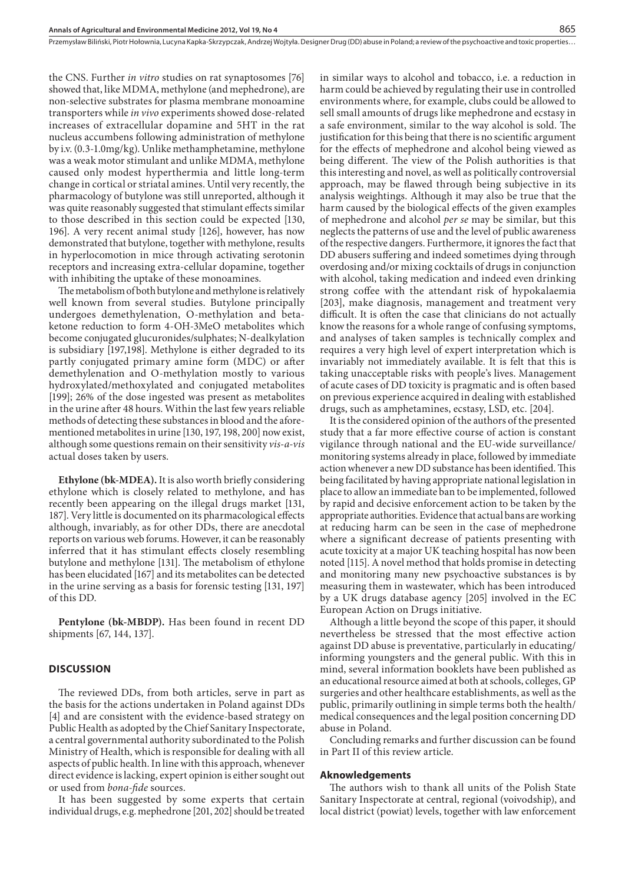the CNS. Further *in vitro* studies on rat synaptosomes [76] showed that, like MDMA, methylone (and mephedrone), are non-selective substrates for plasma membrane monoamine transporters while *in vivo* experiments showed dose-related increases of extracellular dopamine and 5HT in the rat nucleus accumbens following administration of methylone by i.v. (0.3-1.0mg/kg). Unlike methamphetamine, methylone was a weak motor stimulant and unlike MDMA, methylone caused only modest hyperthermia and little long-term change in cortical or striatal amines. Until very recently, the pharmacology of butylone was still unreported, although it was quite reasonably suggested that stimulant effects similar to those described in this section could be expected [130, 196]. A very recent animal study [126], however, has now demonstrated that butylone, together with methylone, results in hyperlocomotion in mice through activating serotonin receptors and increasing extra-cellular dopamine, together with inhibiting the uptake of these monoamines.

The metabolism of both butylone and methylone is relatively well known from several studies. Butylone principally undergoes demethylenation, O-methylation and betaketone reduction to form 4-OH-3MeO metabolites which become conjugated glucuronides/sulphates; N-dealkylation is subsidiary [197,198]. Methylone is either degraded to its partly conjugated primary amine form (MDC) or after demethylenation and O-methylation mostly to various hydroxylated/methoxylated and conjugated metabolites [199]; 26% of the dose ingested was present as metabolites in the urine after 48 hours. Within the last few years reliable methods of detecting these substances in blood and the aforementioned metabolites in urine [130, 197, 198, 200] now exist, although some questions remain on their sensitivity *vis-a-vis* actual doses taken by users.

**Ethylone (bk-MDEA).** It is also worth briefly considering ethylone which is closely related to methylone, and has recently been appearing on the illegal drugs market [131, 187]. Very little is documented on its pharmacological effects although, invariably, as for other DDs, there are anecdotal reports on various web forums. However, it can be reasonably inferred that it has stimulant effects closely resembling butylone and methylone [131]. The metabolism of ethylone has been elucidated [167] and its metabolites can be detected in the urine serving as a basis for forensic testing [131, 197] of this DD.

**Pentylone (bk-MBDP).** Has been found in recent DD shipments [67, 144, 137].

### **DISCUSSION**

The reviewed DDs, from both articles, serve in part as the basis for the actions undertaken in Poland against DDs [4] and are consistent with the evidence-based strategy on Public Health as adopted by the Chief Sanitary Inspectorate, a central governmental authority subordinated to the Polish Ministry of Health, which is responsible for dealing with all aspects of public health. In line with this approach, whenever direct evidence is lacking, expert opinion is either sought out or used from *bona-fide* sources.

It has been suggested by some experts that certain individual drugs, e.g. mephedrone [201, 202] should be treated in similar ways to alcohol and tobacco, i.e. a reduction in harm could be achieved by regulating their use in controlled environments where, for example, clubs could be allowed to sell small amounts of drugs like mephedrone and ecstasy in a safe environment, similar to the way alcohol is sold. The justification for this being that there is no scientific argument for the effects of mephedrone and alcohol being viewed as being different. The view of the Polish authorities is that this interesting and novel, as well as politically controversial approach, may be flawed through being subjective in its analysis weightings. Although it may also be true that the harm caused by the biological effects of the given examples of mephedrone and alcohol *per se* may be similar, but this neglects the patterns of use and the level of public awareness of the respective dangers. Furthermore, it ignores the fact that DD abusers suffering and indeed sometimes dying through overdosing and/or mixing cocktails of drugs in conjunction with alcohol, taking medication and indeed even drinking strong coffee with the attendant risk of hypokalaemia [203], make diagnosis, management and treatment very difficult. It is often the case that clinicians do not actually know the reasons for a whole range of confusing symptoms, and analyses of taken samples is technically complex and requires a very high level of expert interpretation which is invariably not immediately available. It is felt that this is taking unacceptable risks with people's lives. Management of acute cases of DD toxicity is pragmatic and is often based on previous experience acquired in dealing with established drugs, such as amphetamines, ecstasy, LSD, etc. [204].

It is the considered opinion of the authors of the presented study that a far more effective course of action is constant vigilance through national and the EU-wide surveillance/ monitoring systems already in place, followed by immediate action whenever a new DD substance has been identified. This being facilitated by having appropriate national legislation in place to allow an immediate ban to be implemented, followed by rapid and decisive enforcement action to be taken by the appropriate authorities. Evidence that actual bans are working at reducing harm can be seen in the case of mephedrone where a significant decrease of patients presenting with acute toxicity at a major UK teaching hospital has now been noted [115]. A novel method that holds promise in detecting and monitoring many new psychoactive substances is by measuring them in wastewater, which has been introduced by a UK drugs database agency [205] involved in the EC European Action on Drugs initiative.

Although a little beyond the scope of this paper, it should nevertheless be stressed that the most effective action against DD abuse is preventative, particularly in educating/ informing youngsters and the general public. With this in mind, several information booklets have been published as an educational resource aimed at both at schools, colleges, GP surgeries and other healthcare establishments, as well as the public, primarily outlining in simple terms both the health/ medical consequences and the legal position concerning DD abuse in Poland.

Concluding remarks and further discussion can be found in Part II of this review article.

#### **Aknowledgements**

The authors wish to thank all units of the Polish State Sanitary Inspectorate at central, regional (voivodship), and local district (powiat) levels, together with law enforcement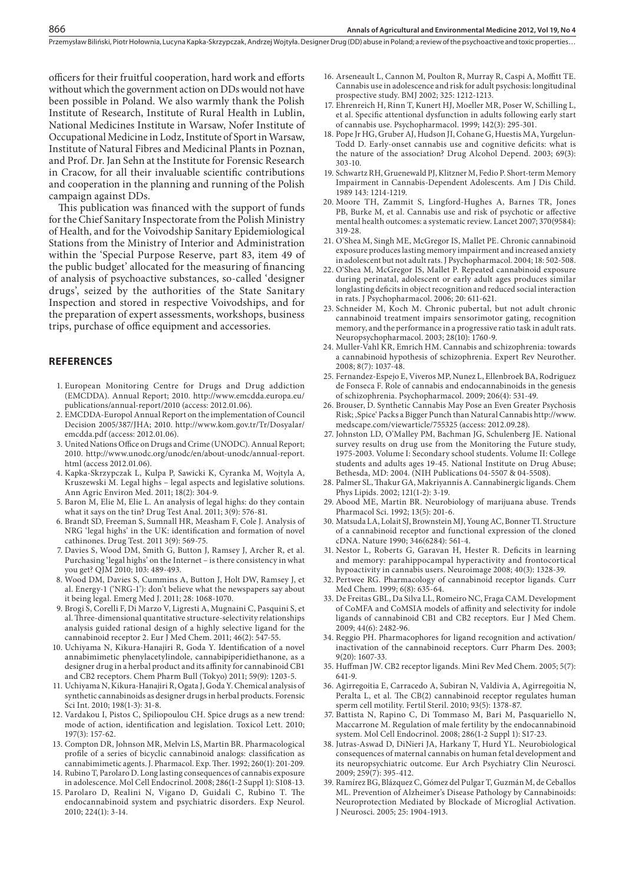officers for their fruitful cooperation, hard work and efforts without which the government action on DDs would not have been possible in Poland. We also warmly thank the Polish Institute of Research, Institute of Rural Health in Lublin, National Medicines Institute in Warsaw, Nofer Institute of Occupational Medicine in Lodz, Institute of Sport in Warsaw, Institute of Natural Fibres and Medicinal Plants in Poznan, and Prof. Dr. Jan Sehn at the Institute for Forensic Research in Cracow, for all their invaluable scientific contributions and cooperation in the planning and running of the Polish campaign against DDs.

This publication was financed with the support of funds for the Chief Sanitary Inspectorate from the Polish Ministry of Health, and for the Voivodship Sanitary Epidemiological Stations from the Ministry of Interior and Administration within the 'Special Purpose Reserve, part 83, item 49 of the public budget' allocated for the measuring of financing of analysis of psychoactive substances, so-called 'designer drugs', seized by the authorities of the State Sanitary Inspection and stored in respective Voivodships, and for the preparation of expert assessments, workshops, business trips, purchase of office equipment and accessories.

#### **REFERENCES**

866

- 1. European Monitoring Centre for Drugs and Drug addiction (EMCDDA). Annual Report; 2010. http://www.emcdda.europa.eu/ publications/annual-report/2010 (access: 2012.01.06).
- 2. EMCDDA-Europol Annual Report on the implementation of Council Decision 2005/387/JHA; 2010. http://www.kom.gov.tr/Tr/Dosyalar/ emcdda.pdf (access: 2012.01.06).
- 3. United Nations Office on Drugs and Crime (UNODC). Annual Report; 2010. http://www.unodc.org/unodc/en/about-unodc/annual-report. html (access 2012.01.06).
- 4. Kapka-Skrzypczak L, Kulpa P, Sawicki K, Cyranka M, Wojtyla A, Kruszewski M. Legal highs – legal aspects and legislative solutions. Ann Agric Environ Med. 2011; 18(2): 304-9.
- 5. Baron M, Elie M, Elie L. An analysis of legal highs: do they contain what it says on the tin? Drug Test Anal. 2011; 3(9): 576-81.
- 6. Brandt SD, Freeman S, Sumnall HR, Measham F, Cole J. Analysis of NRG 'legal highs' in the UK: identification and formation of novel cathinones. Drug Test. 2011 3(9): 569-75.
- 7. Davies S, Wood DM, Smith G, Button J, Ramsey J, Archer R, et al. Purchasing 'legal highs' on the Internet – is there consistency in what you get? QJM 2010; 103: 489-493.
- 8. Wood DM, Davies S, Cummins A, Button J, Holt DW, Ramsey J, et al. Energy-1 ('NRG-1'): don't believe what the newspapers say about it being legal. Emerg Med J. 2011; 28: 1068-1070.
- 9. Brogi S, Corelli F, Di Marzo V, Ligresti A, Mugnaini C, Pasquini S, et al. Three-dimensional quantitative structure-selectivity relationships analysis guided rational design of a highly selective ligand for the cannabinoid receptor 2. Eur J Med Chem. 2011; 46(2): 547-55.
- 10. Uchiyama N, Kikura-Hanajiri R, Goda Y. Identification of a novel annabimimetic phenylacetylindole, cannabipiperidiethanone, as a designer drug in a herbal product and its affinity for cannabinoid CB1 and CB2 receptors. Chem Pharm Bull (Tokyo) 2011; 59(9): 1203-5.
- 11. Uchiyama N, Kikura-Hanajiri R, Ogata J, Goda Y. Chemical analysis of synthetic cannabinoids as designer drugs in herbal products. Forensic Sci Int. 2010; 198(1-3): 31-8.
- 12. Vardakou I, Pistos C, Spiliopoulou CH. Spice drugs as a new trend: mode of action, identification and legislation. Toxicol Lett. 2010; 197(3): 157-62.
- 13. Compton DR, Johnson MR, Melvin LS, Martin BR. Pharmacological profile of a series of bicyclic cannabinoid analogs: classification as cannabimimetic agents. J. Pharmacol. Exp. Ther. 1992; 260(1): 201-209.
- 14. Rubino T, Parolaro D. Long lasting consequences of cannabis exposure in adolescence. Mol Cell Endocrinol. 2008; 286(1-2 Suppl 1): S108-13.
- 15. Parolaro D, Realini N, Vigano D, Guidali C, Rubino T. The endocannabinoid system and psychiatric disorders. Exp Neurol. 2010; 224(1): 3-14.
- 16. Arseneault L, Cannon M, Poulton R, Murray R, Caspi A, Moffitt TE. Cannabis use in adolescence and risk for adult psychosis: longitudinal prospective study. BMJ 2002; 325: 1212-1213.
- 17. Ehrenreich H, Rinn T, Kunert HJ, Moeller MR, Poser W, Schilling L, et al. Specific attentional dysfunction in adults following early start of cannabis use. Psychopharmacol. 1999; 142(3): 295-301.
- 18. Pope Jr HG, Gruber AJ, Hudson JI, Cohane G, Huestis MA, Yurgelun-Todd D. Early-onset cannabis use and cognitive deficits: what is the nature of the association? Drug Alcohol Depend. 2003; 69(3): 303-10.
- 19. Schwartz RH, Gruenewald PJ, Klitzner M, Fedio P. Short-term Memory Impairment in Cannabis-Dependent Adolescents. Am J Dis Child. 1989 143: 1214-1219.
- 20. Moore TH, Zammit S, Lingford-Hughes A, Barnes TR, Jones PB, Burke M, et al. Cannabis use and risk of psychotic or affective mental health outcomes: a systematic review. Lancet 2007; 370(9584): 319-28.
- 21. O'Shea M, Singh ME, McGregor IS, Mallet PE. Chronic cannabinoid exposure produces lasting memory impairment and increased anxiety in adolescent but not adult rats. J Psychopharmacol. 2004; 18: 502-508.
- 22. O'Shea M, McGregor IS, Mallet P. Repeated cannabinoid exposure during perinatal, adolescent or early adult ages produces similar longlasting deficits in object recognition and reduced social interaction in rats. J Psychopharmacol. 2006; 20: 611-621.
- 23. Schneider M, Koch M. Chronic pubertal, but not adult chronic cannabinoid treatment impairs sensorimotor gating, recognition memory, and the performance in a progressive ratio task in adult rats. Neuropsychopharmacol. 2003; 28(10): 1760-9.
- 24. Muller-Vahl KR, Emrich HM. Cannabis and schizophrenia: towards a cannabinoid hypothesis of schizophrenia. Expert Rev Neurother. 2008; 8(7): 1037-48.
- 25. Fernandez-Espejo E, Viveros MP, Nunez L, Ellenbroek BA, Rodriguez de Fonseca F. Role of cannabis and endocannabinoids in the genesis of schizophrenia. Psychopharmacol. 2009; 206(4): 531-49.
- 26. Brouser, D. Synthetic Cannabis May Pose an Even Greater Psychosis Risk; , Spice' Packs a Bigger Punch than Natural Cannabis http://www. medscape.com/viewarticle/755325 (access: 2012.09.28).
- 27. Johnston LD, O'Malley PM, Bachman JG, Schulenberg JE. National survey results on drug use from the Monitoring the Future study, 1975-2003. Volume I: Secondary school students. Volume II: College students and adults ages 19-45. National Institute on Drug Abuse; Bethesda, MD: 2004. (NIH Publications 04-5507 & 04-5508).
- 28. Palmer SL, Thakur GA, Makriyannis A. Cannabinergic ligands. Chem Phys Lipids. 2002; 121(1-2): 3-19.
- 29. Abood ME, Martin BR. Neurobiology of marijuana abuse. Trends Pharmacol Sci. 1992; 13(5): 201-6.
- 30. Matsuda LA, Lolait SJ, Brownstein MJ, Young AC, Bonner TI. Structure of a cannabinoid receptor and functional expression of the cloned cDNA. Nature 1990; 346(6284): 561-4.
- 31. Nestor L, Roberts G, Garavan H, Hester R. Deficits in learning and memory: parahippocampal hyperactivity and frontocortical hypoactivity in cannabis users. Neuroimage 2008; 40(3): 1328-39.
- 32. Pertwee RG. Pharmacology of cannabinoid receptor ligands. Curr Med Chem. 1999; 6(8): 635-64.
- 33. De Freitas GBL, Da Silva LL, Romeiro NC, Fraga CAM. Development of CoMFA and CoMSIA models of affinity and selectivity for indole ligands of cannabinoid CB1 and CB2 receptors. Eur J Med Chem. 2009; 44(6): 2482-96.
- 34. Reggio PH. Pharmacophores for ligand recognition and activation/ inactivation of the cannabinoid receptors. Curr Pharm Des. 2003; 9(20): 1607-33.
- 35. Huffman JW. CB2 receptor ligands. Mini Rev Med Chem. 2005; 5(7): 641-9.
- 36. Agirregoitia E, Carracedo A, Subiran N, Valdivia A, Agirregoitia N, Peralta L, et al. The CB(2) cannabinoid receptor regulates human sperm cell motility. Fertil Steril. 2010; 93(5): 1378-87.
- 37. Battista N, Rapino C, Di Tommaso M, Bari M, Pasquariello N, Maccarrone M. Regulation of male fertility by the endocannabinoid system. Mol Cell Endocrinol. 2008; 286(1-2 Suppl 1): S17-23.
- 38. Jutras-Aswad D, DiNieri JA, Harkany T, Hurd YL. Neurobiological consequences of maternal cannabis on human fetal development and its neuropsychiatric outcome. Eur Arch Psychiatry Clin Neurosci. 2009; 259(7): 395-412.
- 39. Ramírez BG, Blázquez C, Gómez del Pulgar T, Guzmán M, de Ceballos ML. Prevention of Alzheimer's Disease Pathology by Cannabinoids: Neuroprotection Mediated by Blockade of Microglial Activation. J Neurosci. 2005; 25: 1904-1913.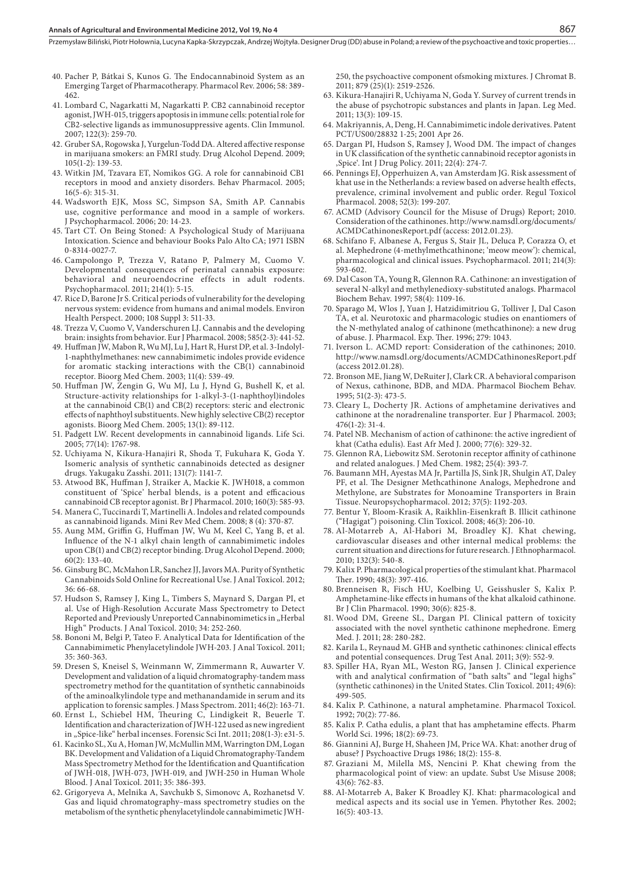#### **Annals of Agricultural and Environmental Medicine 2012, Vol 19, No 4**

Przemysław Biliński, Piotr Hołownia, Lucyna Kapka-Skrzypczak, Andrzej Wojtyła. Designer Drug (DD) abuse in Poland; a review of the psychoactive and toxic properties…

- 40. Pacher P, Bátkai S, Kunos G. The Endocannabinoid System as an Emerging Target of Pharmacotherapy. Pharmacol Rev. 2006; 58: 389- 462.
- 41. Lombard C, Nagarkatti M, Nagarkatti P. CB2 cannabinoid receptor agonist, JWH-015, triggers apoptosis in immune cells: potential role for CB2-selective ligands as immunosuppressive agents. Clin Immunol. 2007; 122(3): 259-70.
- 42. Gruber SA, Rogowska J, Yurgelun-Todd DA. Altered affective response in marijuana smokers: an FMRI study. Drug Alcohol Depend. 2009; 105(1-2): 139-53.
- 43. Witkin JM, Tzavara ET, Nomikos GG. A role for cannabinoid CB1 receptors in mood and anxiety disorders. Behav Pharmacol. 2005; 16(5-6): 315-31.
- 44. Wadsworth EJK, Moss SC, Simpson SA, Smith AP. Cannabis use, cognitive performance and mood in a sample of workers. J Psychopharmacol. 2006; 20: 14-23.
- 45. Tart CT. On Being Stoned: A Psychological Study of Marijuana Intoxication. Science and behaviour Books Palo Alto CA; 1971 ISBN 0-8314-0027-7.
- 46. Campolongo P, Trezza V, Ratano P, Palmery M, Cuomo V. Developmental consequences of perinatal cannabis exposure: behavioral and neuroendocrine effects in adult rodents. Psychopharmacol. 2011; 214(1): 5-15.
- 47. Rice D, Barone Jr S. Critical periods of vulnerability for the developing nervous system: evidence from humans and animal models. Environ Health Perspect. 2000; 108 Suppl 3: 511-33.
- 48. Trezza V, Cuomo V, Vanderschuren LJ. Cannabis and the developing brain: insights from behavior. Eur J Pharmacol. 2008; 585(2-3): 441-52.
- 49. Human JW, Mabon R, Wu MJ, Lu J, Hart R, Hurst DP, et al. 3-Indolyl-1-naphthylmethanes: new cannabimimetic indoles provide evidence for aromatic stacking interactions with the CB(1) cannabinoid receptor. Bioorg Med Chem. 2003; 11(4): 539-49.
- 50. Human JW, Zengin G, Wu MJ, Lu J, Hynd G, Bushell K, et al. Structure-activity relationships for 1-alkyl-3-(1-naphthoyl)indoles at the cannabinoid CB(1) and CB(2) receptors: steric and electronic effects of naphthoyl substituents. New highly selective CB(2) receptor agonists. Bioorg Med Chem. 2005; 13(1): 89-112.
- 51. Padgett LW. Recent developments in cannabinoid ligands. Life Sci. 2005; 77(14): 1767-98.
- 52. Uchiyama N, Kikura-Hanajiri R, Shoda T, Fukuhara K, Goda Y. Isomeric analysis of synthetic cannabinoids detected as designer drugs. Yakugaku Zasshi. 2011; 131(7): 1141-7.
- 53. Atwood BK, Huffman J, Straiker A, Mackie K. JWH018, a common constituent of 'Spice' herbal blends, is a potent and efficacious cannabinoid CB receptor agonist. Br J Pharmacol. 2010; 160(3): 585-93.
- 54. Manera C, Tuccinardi T, Martinelli A. Indoles and related compounds as cannabinoid ligands. Mini Rev Med Chem. 2008; 8 (4): 370-87.
- 55. Aung MM, Griffin G, Huffman JW, Wu M, Keel C, Yang B, et al. Influence of the N-1 alkyl chain length of cannabimimetic indoles upon CB(1) and CB(2) receptor binding. Drug Alcohol Depend. 2000; 60(2): 133-40.
- 56. Ginsburg BC, McMahon LR, Sanchez JJ, Javors MA. Purity of Synthetic Cannabinoids Sold Online for Recreational Use. J Anal Toxicol. 2012; 36: 66-68.
- 57. Hudson S, Ramsey J, King L, Timbers S, Maynard S, Dargan PI, et al. Use of High-Resolution Accurate Mass Spectrometry to Detect Reported and Previously Unreported Cannabinomimetics in "Herbal High" Products. J Anal Toxicol. 2010; 34: 252-260.
- 58. Bononi M, Belgi P, Tateo F. Analytical Data for Identification of the Cannabimimetic Phenylacetylindole JWH-203. J Anal Toxicol. 2011; 35: 360-363.
- 59. Dresen S, Kneisel S, Weinmann W, Zimmermann R, Auwarter V. Development and validation of a liquid chromatography-tandem mass spectrometry method for the quantitation of synthetic cannabinoids of the aminoalkylindole type and methanandamide in serum and its application to forensic samples. J Mass Spectrom. 2011; 46(2): 163-71.
- 60. Ernst L, Schiebel HM, Theuring C, Lindigkeit R, Beuerle T. Identification and characterization of JWH-122 used as new ingredient in "Spice-like" herbal incenses. Forensic Sci Int. 2011; 208(1-3): e31-5.
- 61. Kacinko SL, Xu A, Homan JW, McMullin MM, Warrington DM, Logan BK. Development and Validation of a Liquid Chromatography-Tandem Mass Spectrometry Method for the Identification and Quantification of JWH-018, JWH-073, JWH-019, and JWH-250 in Human Whole Blood. J Anal Toxicol. 2011; 35: 386-393.
- 62. Grigoryeva A, Melnika A, Savchukb S, Simonovc A, Rozhanetsd V. Gas and liquid chromatography–mass spectrometry studies on the metabolism of the synthetic phenylacetylindole cannabimimetic JWH-

250, the psychoactive component ofsmoking mixtures. J Chromat B. 2011; 879 (25)(1): 2519-2526.

- 63. Kikura-Hanajiri R, Uchiyama N, Goda Y. Survey of current trends in the abuse of psychotropic substances and plants in Japan. Leg Med. 2011; 13(3): 109-15.
- 64. Makriyannis, A, Deng, H. Cannabimimetic indole derivatives. Patent PCT/US00/28832 1-25; 2001 Apr 26.
- 65. Dargan PI, Hudson S, Ramsey J, Wood DM. The impact of changes in UK classification of the synthetic cannabinoid receptor agonists in 'Spice'. Int J Drug Policy. 2011; 22(4): 274-7.
- 66. Pennings EJ, Opperhuizen A, van Amsterdam JG. Risk assessment of khat use in the Netherlands: a review based on adverse health effects, prevalence, criminal involvement and public order. Regul Toxicol Pharmacol. 2008; 52(3): 199-207.
- 67. ACMD (Advisory Council for the Misuse of Drugs) Report; 2010. Consideration of the cathinones. http://www.namsdl.org/documents/ ACMDCathinonesReport.pdf (access: 2012.01.23).
- 68. Schifano F, Albanese A, Fergus S, Stair JL, Deluca P, Corazza O, et al. Mephedrone (4-methylmethcathinone; 'meow meow'): chemical, pharmacological and clinical issues. Psychopharmacol. 2011; 214(3): 593-602.
- 69. Dal Cason TA, Young R, Glennon RA. Cathinone: an investigation of several N-alkyl and methylenedioxy-substituted analogs. Pharmacol Biochem Behav. 1997; 58(4): 1109-16.
- 70. Sparago M, Wlos J, Yuan J, Hatzidimitriou G, Tolliver J, Dal Cason TA, et al. Neurotoxic and pharmacologic studies on enantiomers of the N-methylated analog of cathinone (methcathinone): a new drug of abuse. J. Pharmacol. Exp. Ther. 1996; 279: 1043.
- 71. Iverson L. ACMD report: Consideration of the cathinones; 2010. http://www.namsdl.org/documents/ACMDCathinonesReport.pdf (access 2012.01.28).
- 72. Bronson ME, Jiang W, DeRuiter J, Clark CR. A behavioral comparison of Nexus, cathinone, BDB, and MDA. Pharmacol Biochem Behav. 1995; 51(2-3): 473-5.
- 73. Cleary L, Docherty JR. Actions of amphetamine derivatives and cathinone at the noradrenaline transporter. Eur J Pharmacol. 2003; 476(1-2): 31-4.
- 74. Patel NB. Mechanism of action of cathinone: the active ingredient of khat (Catha edulis). East Afr Med J. 2000; 77(6): 329-32.
- 75. Glennon RA, Liebowitz SM. Serotonin receptor affinity of cathinone and related analogues. J Med Chem. 1982; 25(4): 393-7.
- 76. Baumann MH, Ayestas MA Jr, Partilla JS, Sink JR, Shulgin AT, Daley PF, et al. The Designer Methcathinone Analogs, Mephedrone and Methylone, are Substrates for Monoamine Transporters in Brain Tissue. Neuropsychopharmacol. 2012; 37(5): 1192-203.
- 77. Bentur Y, Bloom-Krasik A, Raikhlin-Eisenkraft B. Illicit cathinone ("Hagigat") poisoning. Clin Toxicol. 2008; 46(3): 206-10.
- 78. Al-Motarreb A, Al-Habori M, Broadley KJ. Khat chewing, cardiovascular diseases and other internal medical problems: the current situation and directions for future research. J Ethnopharmacol. 2010; 132(3): 540-8.
- 79. Kalix P. Pharmacological properties of the stimulant khat. Pharmacol Ther. 1990; 48(3): 397-416.
- 80. Brenneisen R, Fisch HU, Koelbing U, Geisshusler S, Kalix P. Amphetamine-like effects in humans of the khat alkaloid cathinone. Br J Clin Pharmacol. 1990; 30(6): 825-8.
- 81. Wood DM, Greene SL, Dargan PI. Clinical pattern of toxicity associated with the novel synthetic cathinone mephedrone. Emerg Med. J. 2011; 28: 280-282.
- 82. Karila L, Reynaud M. GHB and synthetic cathinones: clinical effects and potential consequences. Drug Test Anal. 2011; 3(9): 552-9.
- 83. Spiller HA, Ryan ML, Weston RG, Jansen J. Clinical experience with and analytical confirmation of "bath salts" and "legal highs" (synthetic cathinones) in the United States. Clin Toxicol. 2011; 49(6): 499-505.
- 84. Kalix P. Cathinone, a natural amphetamine. Pharmacol Toxicol. 1992; 70(2): 77-86.
- 85. Kalix P. Catha edulis, a plant that has amphetamine effects. Pharm World Sci. 1996; 18(2): 69-73.
- 86. Giannini AJ, Burge H, Shaheen JM, Price WA. Khat: another drug of abuse? J Psychoactive Drugs 1986; 18(2): 155-8.
- 87. Graziani M, Milella MS, Nencini P. Khat chewing from the pharmacological point of view: an update. Subst Use Misuse 2008; 43(6): 762-83.
- 88. Al-Motarreb A, Baker K Broadley KJ. Khat: pharmacological and medical aspects and its social use in Yemen. Phytother Res. 2002; 16(5): 403-13.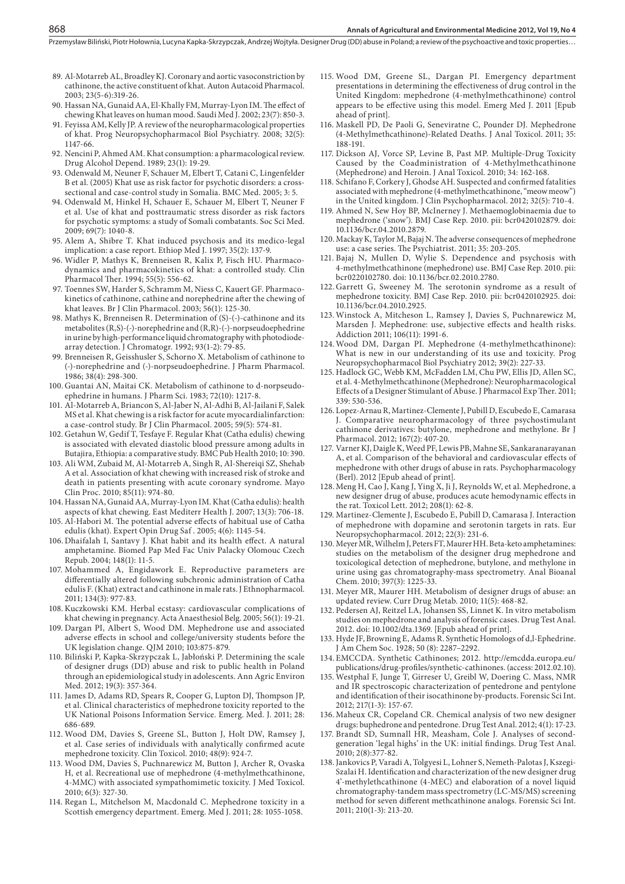- 89. Al-Motarreb AL, Broadley KJ. Coronary and aortic vasoconstriction by cathinone, the active constituent of khat. Auton Autacoid Pharmacol. 2003; 23(5-6):319-26.
- 90. Hassan NA, Gunaid AA, El-Khally FM, Murray-Lyon IM. The effect of chewing Khat leaves on human mood. Saudi Med J. 2002; 23(7): 850-3.
- 91. Feyissa AM, Kelly JP. A review of the neuropharmacological properties of khat. Prog Neuropsychopharmacol Biol Psychiatry. 2008; 32(5): 1147-66.
- 92. Nencini P, Ahmed AM. Khat consumption: a pharmacological review. Drug Alcohol Depend. 1989; 23(1): 19-29.
- 93. Odenwald M, Neuner F, Schauer M, Elbert T, Catani C, Lingenfelder B et al. (2005) Khat use as risk factor for psychotic disorders: a crosssectional and case-control study in Somalia. BMC Med. 2005; 3: 5.
- 94. Odenwald M, Hinkel H, Schauer E, Schauer M, Elbert T, Neuner F et al. Use of khat and posttraumatic stress disorder as risk factors for psychotic symptoms: a study of Somali combatants. Soc Sci Med. 2009; 69(7): 1040-8.
- 95. Alem A, Shibre T. Khat induced psychosis and its medico-legal implication: a case report. Ethiop Med J. 1997; 35(2): 137-9.
- 96. Widler P, Mathys K, Brenneisen R, Kalix P, Fisch HU. Pharmacodynamics and pharmacokinetics of khat: a controlled study. Clin Pharmacol Ther. 1994; 55(5): 556-62.
- 97. Toennes SW, Harder S, Schramm M, Niess C, Kauert GF. Pharmacokinetics of cathinone, cathine and norephedrine after the chewing of khat leaves. Br J Clin Pharmacol. 2003; 56(1): 125-30.
- 98. Mathys K, Brenneisen R. Determination of (S)-(-)-cathinone and its metabolites (R,S)-(-)-norephedrine and (R,R)-(-)-norpseudoephedrine in urine by high-performance liquid chromatography with photodiodearray detection. J Chromatogr. 1992; 93(1-2): 79-85.
- 99. Brenneisen R, Geisshusler S, Schorno X. Metabolism of cathinone to (-)-norephedrine and (-)-norpseudoephedrine. J Pharm Pharmacol. 1986; 38(4): 298-300.
- 100. Guantai AN, Maitai CK. Metabolism of cathinone to d-norpseudoephedrine in humans. J Pharm Sci. 1983; 72(10): 1217-8.
- 101. Al-Motarreb A, Briancon S, Al-Jaber N, Al-Adhi B, Al-Jailani F, Salek MS et al. Khat chewing is a risk factor for acute myocardialinfarction: a case-control study. Br J Clin Pharmacol. 2005; 59(5): 574-81.
- 102. Getahun W, Gedif T, Tesfaye F. Regular Khat (Catha edulis) chewing is associated with elevated diastolic blood pressure among adults in Butajira, Ethiopia: a comparative study. BMC Pub Health 2010; 10: 390.
- 103. Ali WM, Zubaid M, Al-Motarreb A, Singh R, Al-Shereiqi SZ, Shehab A et al. Association of khat chewing with increased risk of stroke and death in patients presenting with acute coronary syndrome. Mayo Clin Proc. 2010; 85(11): 974-80.
- 104. Hassan NA, Gunaid AA, Murray-Lyon IM. Khat (Catha edulis): health aspects of khat chewing. East Mediterr Health J. 2007; 13(3): 706-18.
- 105. Al-Habori M. The potential adverse effects of habitual use of Catha edulis (khat). Expert Opin Drug Saf . 2005; 4(6): 1145-54.
- 106. Dhaifalah I, Santavy J. Khat habit and its health effect. A natural amphetamine. Biomed Pap Med Fac Univ Palacky Olomouc Czech Repub. 2004; 148(1): 11-5.
- 107. Mohammed A, Engidawork E. Reproductive parameters are differentially altered following subchronic administration of Catha edulis F. (Khat) extract and cathinone in male rats. J Ethnopharmacol. 2011; 134(3): 977-83.
- 108. Kuczkowski KM. Herbal ecstasy: cardiovascular complications of khat chewing in pregnancy. Acta Anaesthesiol Belg. 2005; 56(1): 19-21.
- 109. Dargan PI, Albert S, Wood DM. Mephedrone use and associated adverse effects in school and college/university students before the UK legislation change. QJM 2010; 103:875-879.
- 110. Biliński P, Kapka-Skrzypczak L, Jabłoński P. Determining the scale of designer drugs (DD) abuse and risk to public health in Poland through an epidemiological study in adolescents. Ann Agric Environ Med. 2012; 19(3): 357-364.
- 111. James D, Adams RD, Spears R, Cooper G, Lupton DJ, Thompson JP, et al. Clinical characteristics of mephedrone toxicity reported to the UK National Poisons Information Service. Emerg. Med. J. 2011; 28: 686-689.
- 112. Wood DM, Davies S, Greene SL, Button J, Holt DW, Ramsey J, et al. Case series of individuals with analytically confirmed acute mephedrone toxicity. Clin Toxicol. 2010; 48(9): 924-7.
- 113. Wood DM, Davies S, Puchnarewicz M, Button J, Archer R, Ovaska H, et al. Recreational use of mephedrone (4-methylmethcathinone, 4-MMC) with associated sympathomimetic toxicity. J Med Toxicol. 2010; 6(3): 327-30.
- 114. Regan L, Mitchelson M, Macdonald C. Mephedrone toxicity in a Scottish emergency department. Emerg. Med J. 2011; 28: 1055-1058.
- 115. Wood DM, Greene SL, Dargan PI. Emergency department presentations in determining the effectiveness of drug control in the United Kingdom: mephedrone (4-methylmethcathinone) control appears to be effective using this model. Emerg Med J. 2011 [Epub ahead of print].
- 116. Maskell PD, De Paoli G, Seneviratne C, Pounder DJ. Mephedrone (4-Methylmethcathinone)-Related Deaths. J Anal Toxicol. 2011; 35: 188-191.
- 117. Dickson AJ, Vorce SP, Levine B, Past MP. Multiple-Drug Toxicity Caused by the Coadministration of 4-Methylmethcathinone (Mephedrone) and Heroin. J Anal Toxicol. 2010; 34: 162-168.
- 118. Schifano F, Corkery J, Ghodse AH. Suspected and confirmed fatalities associated with mephedrone (4-methylmethcathinone, "meow meow") in the United kingdom. J Clin Psychopharmacol. 2012; 32(5): 710-4.
- 119. Ahmed N, Sew Hoy BP, McInerney J. Methaemoglobinaemia due to mephedrone ('snow'). BMJ Case Rep. 2010. pii: bcr0420102879. doi: 10.1136/bcr.04.2010.2879.
- 120. Mackay K, Taylor M, Bajaj N. The adverse consequences of mephedrone use: a case series. The Psychiatrist. 2011; 35: 203-205.
- 121. Bajaj N, Mullen D, Wylie S. Dependence and psychosis with 4-methylmethcathinone (mephedrone) use. BMJ Case Rep. 2010. pii: bcr0220102780. doi: 10.1136/bcr.02.2010.2780.
- 122. Garrett G, Sweeney M. The serotonin syndrome as a result of mephedrone toxicity. BMJ Case Rep. 2010. pii: bcr0420102925. doi: 10.1136/bcr.04.2010.2925.
- 123. Winstock A, Mitcheson L, Ramsey J, Davies S, Puchnarewicz M, Marsden J. Mephedrone: use, subjective effects and health risks. Addiction 2011; 106(11): 1991-6.
- 124.Wood DM, Dargan PI. Mephedrone (4-methylmethcathinone): What is new in our understanding of its use and toxicity. Prog Neuropsychopharmacol Biol Psychiatry 2012; 39(2): 227-33.
- 125. Hadlock GC, Webb KM, McFadden LM, Chu PW, Ellis JD, Allen SC, et al. 4-Methylmethcathinone (Mephedrone): Neuropharmacological Effects of a Designer Stimulant of Abuse. J Pharmacol Exp Ther. 2011; 339: 530-536.
- 126. Lopez-Arnau R, Martinez-Clemente J, Pubill D, Escubedo E, Camarasa J. Comparative neuropharmacology of three psychostimulant cathinone derivatives: butylone, mephedrone and methylone. Br J Pharmacol. 2012; 167(2): 407-20.
- 127. Varner KJ, Daigle K, Weed PF, Lewis PB, Mahne SE, Sankaranarayanan A, et al. Comparison of the behavioral and cardiovascular effects of mephedrone with other drugs of abuse in rats. Psychopharmacology (Berl). 2012 [Epub ahead of print].
- 128. Meng H, Cao J, Kang J, Ying X, Ji J, Reynolds W, et al. Mephedrone, a new designer drug of abuse, produces acute hemodynamic effects in the rat. Toxicol Lett. 2012; 208(1): 62-8.
- 129. Martinez-Clemente J, Escubedo E, Pubill D, Camarasa J. Interaction of mephedrone with dopamine and serotonin targets in rats. Eur Neuropsychopharmacol. 2012; 22(3): 231-6.
- 130. Meyer MR, Wilhelm J, Peters FT, Maurer HH. Beta-keto amphetamines: studies on the metabolism of the designer drug mephedrone and toxicological detection of mephedrone, butylone, and methylone in urine using gas chromatography-mass spectrometry. Anal Bioanal Chem. 2010; 397(3): 1225-33.
- 131. Meyer MR, Maurer HH. Metabolism of designer drugs of abuse: an updated review. Curr Drug Metab. 2010; 11(5): 468-82.
- 132. Pedersen AJ, Reitzel LA, Johansen SS, Linnet K. In vitro metabolism studies on mephedrone and analysis of forensic cases. Drug Test Anal. 2012. doi: 10.1002/dta.1369. [Epub ahead of print].
- 133. Hyde JF, Browning E, Adams R. Synthetic Homologs of d,l-Ephedrine. J Am Chem Soc. 1928; 50 (8): 2287–2292.
- 134. EMCCDA. Synthetic Cathinones; 2012. http://emcdda.europa.eu/ publications/drug-profiles/synthetic-cathinones. (access: 2012.02.10).
- 135. Westphal F, Junge T, Girreser U, Greibl W, Doering C. Mass, NMR and IR spectroscopic characterization of pentedrone and pentylone and identification of their isocathinone by-products. Forensic Sci Int. 2012; 217(1-3): 157-67.
- 136. Maheux CR, Copeland CR. Chemical analysis of two new designer drugs: buphedrone and pentedrone. Drug Test Anal. 2012; 4(1): 17-23.
- 137. Brandt SD, Sumnall HR, Measham, Cole J. Analyses of secondgeneration 'legal highs' in the UK: initial findings. Drug Test Anal. 2010; 2(8):377-82.
- 138. Jankovics P, Varadi A, Tolgyesi L, Lohner S, Nemeth-Palotas J, Kszegi-Szalai H. Identification and characterization of the new designer drug 4'-methylethcathinone (4-MEC) and elaboration of a novel liquid chromatography-tandem mass spectrometry (LC-MS/MS) screening method for seven different methcathinone analogs. Forensic Sci Int. 2011; 210(1-3): 213-20.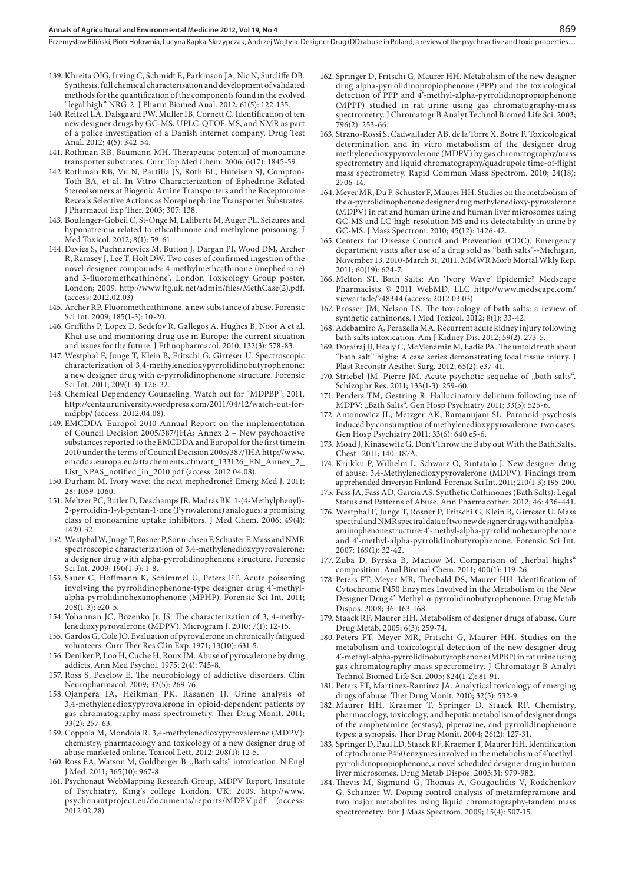- 139. Khreita OIG, Irving C, Schmidt E, Parkinson JA, Nic N, Sutcliffe DB. Synthesis, full chemical characterisation and development of validated methods for the quantification of the components found in the evolved "legal high" NRG-2. J Pharm Biomed Anal. 2012; 61(5): 122-135.
- 140. Reitzel LA, Dalsgaard PW, Muller IB, Cornett C. Identification of ten new designer drugs by GC-MS, UPLC-QTOF-MS, and NMR as part of a police investigation of a Danish internet company. Drug Test Anal. 2012; 4(5): 342-54.
- 141. Rothman RB, Baumann MH. Therapeutic potential of monoamine transporter substrates. Curr Top Med Chem. 2006; 6(17): 1845-59.
- 142. Rothman RB, Vu N, Partilla JS, Roth BL, Hufeisen SJ, Compton-Toth BA, et al. In Vitro Characterization of Ephedrine-Related Stereoisomers at Biogenic Amine Transporters and the Receptorome Reveals Selective Actions as Norepinephrine Transporter Substrates. J Pharmacol Exp Ther. 2003; 307: 138.
- 143. Boulanger-Gobeil C, St-Onge M, Laliberte M, Auger PL. Seizures and hyponatremia related to ethcathinone and methylone poisoning. J Med Toxicol. 2012; 8(1): 59-61.
- 144. Davies S, Puchnarewicz M, Button J, Dargan PI, Wood DM, Archer R, Ramsey J, Lee T, Holt DW. Two cases of confirmed ingestion of the novel designer compounds: 4-methylmethcathinone (mephedrone) and 3-fluoromethcathinone', London Toxicology Group poster, London; 2009. http://www.ltg.uk.net/admin/files/MethCase(2).pdf. (access: 2012.02.03)
- 145. Archer RP. Fluoromethcathinone, a new substance of abuse. Forensic Sci Int. 2009; 185(1-3): 10-20.
- 146. Griffiths P, Lopez D, Sedefov R, Gallegos A, Hughes B, Noor A et al. Khat use and monitoring drug use in Europe: the current situation and issues for the future. J Ethnopharmacol. 2010; 132(3): 578-83.
- 147. Westphal F, Junge T, Klein B, Fritschi G, Girreser U. Spectroscopic characterization of 3,4-methylenedioxypyrrolidinobutyrophenone: a new designer drug with α-pyrrolidinophenone structure. Forensic Sci Int. 2011; 209(1-3): 126-32.
- 148. Chemical Dependency Counseling. Watch out for "MDPBP"; 2011. http://centauruniversity.wordpress.com/2011/04/12/watch-out-formdpbp/ (access: 2012.04.08).
- 149. EMCDDA–Europol 2010 Annual Report on the implementation of Council Decision 2005/387/JHA; Annex 2 – New psychoactive substances reported to the EMCDDA and Europol for the first time in 2010 under the terms of Council Decision 2005/387/JHA http://www. emcdda.europa.eu/attachements.cfm/att\_133126\_EN\_Annex\_2\_ List\_NPAS\_notified\_in\_2010.pdf (access: 2012.04.08).
- 150. Durham M. Ivory wave: the next mephedrone? Emerg Med J. 2011; 28: 1059-1060.
- 151. Meltzer PC, Butler D, Deschamps JR, Madras BK. 1-(4-Methylphenyl)- 2-pyrrolidin-1-yl-pentan-1-one (Pyrovalerone) analogues: a promising class of monoamine uptake inhibitors. J Med Chem. 2006; 49(4): 1420-32.
- 152. Westphal W, Junge T, Rosner P, Sonnichsen F, Schuster F. Mass and NMR spectroscopic characterization of 3,4-methylenedioxypyrovalerone: a designer drug with alpha-pyrrolidinophenone structure. Forensic Sci Int. 2009; 190(1-3): 1-8.
- 153. Sauer C, Hoffmann K, Schimmel U, Peters FT. Acute poisoning involving the pyrrolidinophenone-type designer drug 4'-methylalpha-pyrrolidinohexanophenone (MPHP). Forensic Sci Int. 2011; 208(1-3): e20-5.
- 154. Yohannan JC, Bozenko Jr. JS. The characterization of 3, 4-methylenedioxypyrovalerone (MDPV). Microgram J. 2010; 7(1): 12-15.
- 155. Gardos G, Cole JO. Evaluation of pyrovalerone in chronically fatigued volunteers. Curr Ther Res Clin Exp. 1971; 13(10): 631-5.
- 156. Deniker P, Loo H, Cuche H, Roux JM. Abuse of pyrovalerone by drug addicts. Ann Med Psychol. 1975; 2(4): 745-8.
- 157. Ross S, Peselow E. The neurobiology of addictive disorders. Clin Neuropharmacol. 2009; 32(5): 269-76.
- 158. Ojanpera IA, Heikman PK, Rasanen IJ. Urine analysis of 3,4-methylenedioxypyrovalerone in opioid-dependent patients by gas chromatography-mass spectrometry. Ther Drug Monit. 2011; 33(2): 257-63.
- 159. Coppola M, Mondola R. 3,4-methylenedioxypyrovalerone (MDPV): chemistry, pharmacology and toxicology of a new designer drug of abuse marketed online. Toxicol Lett. 2012; 208(1): 12-5.
- 160. Ross EA, Watson M, Goldberger B. "Bath salts" intoxication. N Engl J Med. 2011; 365(10): 967-8.
- 161. Psychonaut WebMapping Research Group, MDPV Report, Institute of Psychiatry, King's college London, UK; 2009. http://www. psychonautproject.eu/documents/reports/MDPV.pdf 2012.02.28).
- 162. Springer D, Fritschi G, Maurer HH. Metabolism of the new designer drug alpha-pyrrolidinopropiophenone (PPP) and the toxicological detection of PPP and 4'-methyl-alpha-pyrrolidinopropiophenone (MPPP) studied in rat urine using gas chromatography-mass spectrometry. J Chromatogr B Analyt Technol Biomed Life Sci. 2003; 796(2): 253-66.
- 163. Strano-Rossi S, Cadwallader AB, de la Torre X, Botre F. Toxicological determination and in vitro metabolism of the designer drug methylenedioxypyrovalerone (MDPV) by gas chromatography/mass spectrometry and liquid chromatography/quadrupole time-of-flight mass spectrometry. Rapid Commun Mass Spectrom. 2010; 24(18): 2706-14.
- 164. Meyer MR, Du P, Schuster F, Maurer HH. Studies on the metabolism of the α-pyrrolidinophenone designer drug methylenedioxy-pyrovalerone (MDPV) in rat and human urine and human liver microsomes using GC-MS and LC-high-resolution MS and its detectability in urine by GC-MS. J Mass Spectrom. 2010; 45(12): 1426-42.
- 165. Centers for Disease Control and Prevention (CDC). Emergency department visits after use of a drug sold as "bath salts"--Michigan, November 13, 2010-March 31, 2011. MMWR Morb Mortal Wkly Rep. 2011; 60(19): 624-7.
- 166. Melton ST. Bath Salts: An 'Ivory Wave' Epidemic? Medscape Pharmacists © 2011 WebMD, LLC http://www.medscape.com/ viewarticle/748344 (access: 2012.03.03).
- 167. Prosser JM, Nelson LS. The toxicology of bath salts: a review of synthetic cathinones. J Med Toxicol. 2012; 8(1): 33-42.
- 168. Adebamiro A, Perazella MA. Recurrent acute kidney injury following bath salts intoxication. Am J Kidney Dis. 2012; 59(2): 273-5.
- 169. Dorairaj JJ, Healy C, McMenamin M, Eadie PA. The untold truth about "bath salt" highs: A case series demonstrating local tissue injury. J Plast Reconstr Aesthet Surg. 2012; 65(2): e37-41.
- 170. Striebel JM, Pierre JM. Acute psychotic sequelae of "bath salts". Schizophr Res. 2011; 133(1-3): 259-60.
- 171. Penders TM, Gestring R. Hallucinatory delirium following use of MDPV: "Bath Salts". Gen Hosp Psychiatry 2011; 33(5): 525-6.
- 172. Antonowicz JL, Metzger AK, Ramanujam SL. Paranoid psychosis induced by consumption of methylenedioxypyrovalerone: two cases. Gen Hosp Psychiatry 2011; 33(6): 640 e5-6.
- 173. Moad J, Kinasewitz G. Don't Throw the Baby out With the Bath.Salts. Chest . 2011; 140: 187A.
- 174. Kriikku P, Wilhelm L, Schwarz O, Rintatalo J. New designer drug of abuse: 3,4-Methylenedioxypyrovalerone (MDPV). Findings from apprehended drivers in Finland. Forensic Sci Int. 2011; 210(1-3): 195-200.
- 175. Fass JA, Fass AD, Garcia AS. Synthetic Cathinones (Bath Salts): Legal Status and Patterns of Abuse. Ann Pharmacother. 2012; 46: 436-441.
- 176. Westphal F, Junge T, Rosner P, Fritschi G, Klein B, Girreser U. Mass spectral and NMR spectral data of two new designer drugs with an alphaaminophenone structure: 4'-methyl-alpha-pyrrolidinohexanophenone and 4'-methyl-alpha-pyrrolidinobutyrophenone. Forensic Sci Int. 2007; 169(1): 32-42.
- 177. Zuba D, Byrska B, Maciow M. Comparison of "herbal highs" composition. Anal Bioanal Chem. 2011; 400(1): 119-26.
- 178. Peters FT, Meyer MR, Theobald DS, Maurer HH. Identification of Cytochrome P450 Enzymes Involved in the Metabolism of the New Designer Drug 4'-Methyl-α-pyrrolidinobutyrophenone. Drug Metab Dispos. 2008; 36: 163-168.
- 179. Staack RF, Maurer HH. Metabolism of designer drugs of abuse. Curr Drug Metab. 2005; 6(3): 259-74.
- 180. Peters FT, Meyer MR, Fritschi G, Maurer HH. Studies on the metabolism and toxicological detection of the new designer drug 4'-methyl-alpha-pyrrolidinobutyrophenone (MPBP) in rat urine using gas chromatography-mass spectrometry. J Chromatogr B Analyt Technol Biomed Life Sci. 2005; 824(1-2): 81-91.
- 181. Peters FT, Martinez-Ramirez JA. Analytical toxicology of emerging drugs of abuse. Ther Drug Monit. 2010; 32(5): 532-9.
- 182. Maurer HH, Kraemer T, Springer D, Staack RF. Chemistry, pharmacology, toxicology, and hepatic metabolism of designer drugs of the amphetamine (ecstasy), piperazine, and pyrrolidinophenone types: a synopsis. Ther Drug Monit.  $2004$ :  $26(2)$ : 127-31.
- 183. Springer D, Paul LD, Staack RF, Kraemer T, Maurer HH. Identification of cytochrome P450 enzymes involved in the metabolism of 4'methylpyrrolidinopropiophenone, a novel scheduled designer drug in human liver microsomes. Drug Metab Dispos. 2003;31: 979-982.
- 184. Thevis M, Sigmund G, Thomas A, Gougoulidis V, Rodchenkov G, Schanzer W. Doping control analysis of metamfepramone and two major metabolites using liquid chromatography-tandem mass spectrometry. Eur J Mass Spectrom. 2009; 15(4): 507-15.